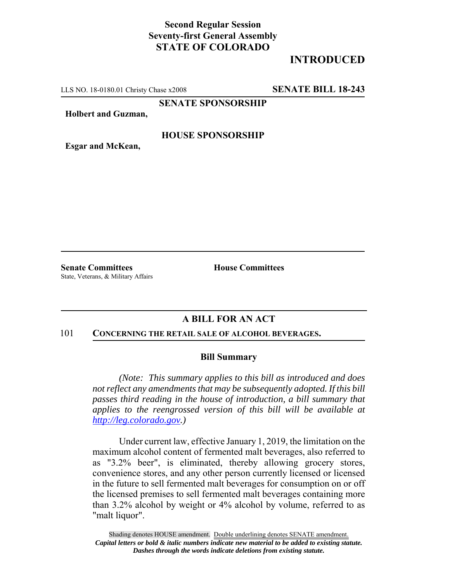## **Second Regular Session Seventy-first General Assembly STATE OF COLORADO**

# **INTRODUCED**

LLS NO. 18-0180.01 Christy Chase x2008 **SENATE BILL 18-243**

**SENATE SPONSORSHIP**

**Holbert and Guzman,**

### **HOUSE SPONSORSHIP**

**Esgar and McKean,**

**Senate Committees House Committees** State, Veterans, & Military Affairs

## **A BILL FOR AN ACT**

#### 101 **CONCERNING THE RETAIL SALE OF ALCOHOL BEVERAGES.**

#### **Bill Summary**

*(Note: This summary applies to this bill as introduced and does not reflect any amendments that may be subsequently adopted. If this bill passes third reading in the house of introduction, a bill summary that applies to the reengrossed version of this bill will be available at http://leg.colorado.gov.)*

Under current law, effective January 1, 2019, the limitation on the maximum alcohol content of fermented malt beverages, also referred to as "3.2% beer", is eliminated, thereby allowing grocery stores, convenience stores, and any other person currently licensed or licensed in the future to sell fermented malt beverages for consumption on or off the licensed premises to sell fermented malt beverages containing more than 3.2% alcohol by weight or 4% alcohol by volume, referred to as "malt liquor".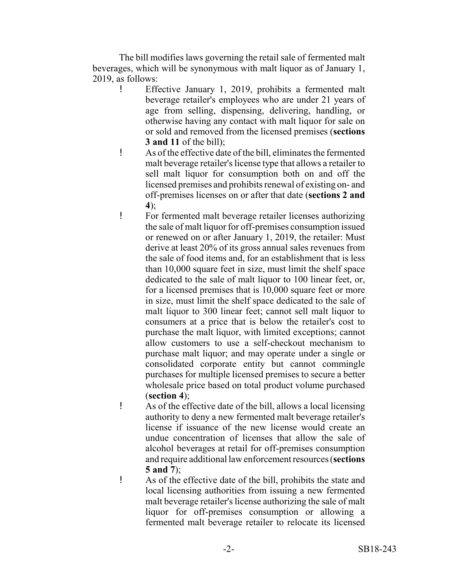The bill modifies laws governing the retail sale of fermented malt beverages, which will be synonymous with malt liquor as of January 1, 2019, as follows:

- Effective January 1, 2019, prohibits a fermented malt beverage retailer's employees who are under 21 years of age from selling, dispensing, delivering, handling, or otherwise having any contact with malt liquor for sale on or sold and removed from the licensed premises (**sections 3 and 11** of the bill);
- ! As of the effective date of the bill, eliminates the fermented malt beverage retailer's license type that allows a retailer to sell malt liquor for consumption both on and off the licensed premises and prohibits renewal of existing on- and off-premises licenses on or after that date (**sections 2 and 4**);
- ! For fermented malt beverage retailer licenses authorizing the sale of malt liquor for off-premises consumption issued or renewed on or after January 1, 2019, the retailer: Must derive at least 20% of its gross annual sales revenues from the sale of food items and, for an establishment that is less than 10,000 square feet in size, must limit the shelf space dedicated to the sale of malt liquor to 100 linear feet, or, for a licensed premises that is 10,000 square feet or more in size, must limit the shelf space dedicated to the sale of malt liquor to 300 linear feet; cannot sell malt liquor to consumers at a price that is below the retailer's cost to purchase the malt liquor, with limited exceptions; cannot allow customers to use a self-checkout mechanism to purchase malt liquor; and may operate under a single or consolidated corporate entity but cannot commingle purchases for multiple licensed premises to secure a better wholesale price based on total product volume purchased (**section 4**);
- ! As of the effective date of the bill, allows a local licensing authority to deny a new fermented malt beverage retailer's license if issuance of the new license would create an undue concentration of licenses that allow the sale of alcohol beverages at retail for off-premises consumption and require additional law enforcement resources (**sections 5 and 7**);
- ! As of the effective date of the bill, prohibits the state and local licensing authorities from issuing a new fermented malt beverage retailer's license authorizing the sale of malt liquor for off-premises consumption or allowing a fermented malt beverage retailer to relocate its licensed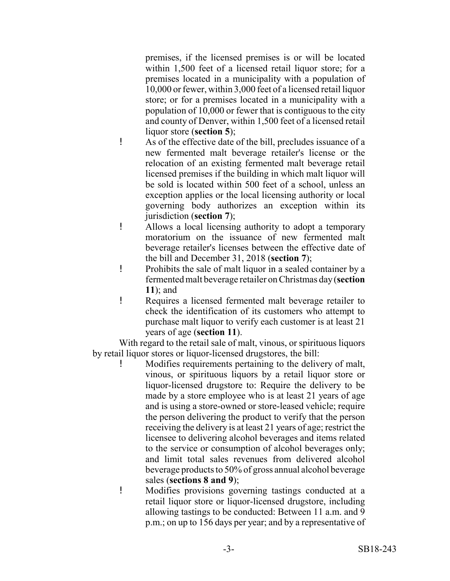premises, if the licensed premises is or will be located within 1,500 feet of a licensed retail liquor store; for a premises located in a municipality with a population of 10,000 or fewer, within 3,000 feet of a licensed retail liquor store; or for a premises located in a municipality with a population of 10,000 or fewer that is contiguous to the city and county of Denver, within 1,500 feet of a licensed retail liquor store (**section 5**);

- ! As of the effective date of the bill, precludes issuance of a new fermented malt beverage retailer's license or the relocation of an existing fermented malt beverage retail licensed premises if the building in which malt liquor will be sold is located within 500 feet of a school, unless an exception applies or the local licensing authority or local governing body authorizes an exception within its jurisdiction (**section 7**);
- ! Allows a local licensing authority to adopt a temporary moratorium on the issuance of new fermented malt beverage retailer's licenses between the effective date of the bill and December 31, 2018 (**section 7**);
- ! Prohibits the sale of malt liquor in a sealed container by a fermented malt beverage retailer on Christmas day (**section 11**); and
- ! Requires a licensed fermented malt beverage retailer to check the identification of its customers who attempt to purchase malt liquor to verify each customer is at least 21 years of age (**section 11**).

With regard to the retail sale of malt, vinous, or spirituous liquors by retail liquor stores or liquor-licensed drugstores, the bill:

- ! Modifies requirements pertaining to the delivery of malt, vinous, or spirituous liquors by a retail liquor store or liquor-licensed drugstore to: Require the delivery to be made by a store employee who is at least 21 years of age and is using a store-owned or store-leased vehicle; require the person delivering the product to verify that the person receiving the delivery is at least 21 years of age; restrict the licensee to delivering alcohol beverages and items related to the service or consumption of alcohol beverages only; and limit total sales revenues from delivered alcohol beverage products to 50% of gross annual alcohol beverage sales (**sections 8 and 9**);
- ! Modifies provisions governing tastings conducted at a retail liquor store or liquor-licensed drugstore, including allowing tastings to be conducted: Between 11 a.m. and 9 p.m.; on up to 156 days per year; and by a representative of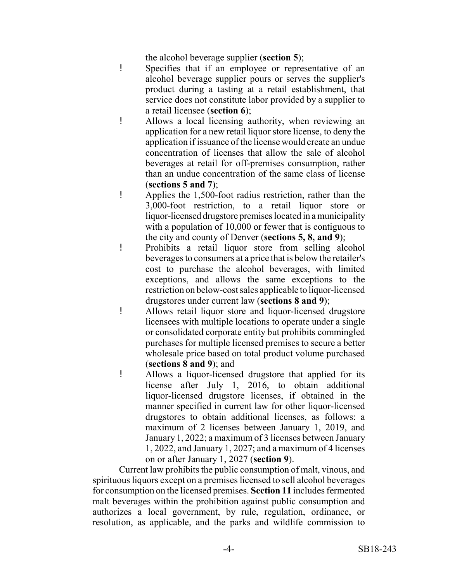the alcohol beverage supplier (**section 5**);

- ! Specifies that if an employee or representative of an alcohol beverage supplier pours or serves the supplier's product during a tasting at a retail establishment, that service does not constitute labor provided by a supplier to a retail licensee (**section 6**);
- ! Allows a local licensing authority, when reviewing an application for a new retail liquor store license, to deny the application if issuance of the license would create an undue concentration of licenses that allow the sale of alcohol beverages at retail for off-premises consumption, rather than an undue concentration of the same class of license (**sections 5 and 7**);
- ! Applies the 1,500-foot radius restriction, rather than the 3,000-foot restriction, to a retail liquor store or liquor-licensed drugstore premises located in a municipality with a population of 10,000 or fewer that is contiguous to the city and county of Denver (**sections 5, 8, and 9**);
- ! Prohibits a retail liquor store from selling alcohol beverages to consumers at a price that is below the retailer's cost to purchase the alcohol beverages, with limited exceptions, and allows the same exceptions to the restriction on below-cost sales applicable to liquor-licensed drugstores under current law (**sections 8 and 9**);
- ! Allows retail liquor store and liquor-licensed drugstore licensees with multiple locations to operate under a single or consolidated corporate entity but prohibits commingled purchases for multiple licensed premises to secure a better wholesale price based on total product volume purchased (**sections 8 and 9**); and
- ! Allows a liquor-licensed drugstore that applied for its license after July 1, 2016, to obtain additional liquor-licensed drugstore licenses, if obtained in the manner specified in current law for other liquor-licensed drugstores to obtain additional licenses, as follows: a maximum of 2 licenses between January 1, 2019, and January 1, 2022; a maximum of 3 licenses between January 1, 2022, and January 1, 2027; and a maximum of 4 licenses on or after January 1, 2027 (**section 9**).

Current law prohibits the public consumption of malt, vinous, and spirituous liquors except on a premises licensed to sell alcohol beverages for consumption on the licensed premises. **Section 11** includes fermented malt beverages within the prohibition against public consumption and authorizes a local government, by rule, regulation, ordinance, or resolution, as applicable, and the parks and wildlife commission to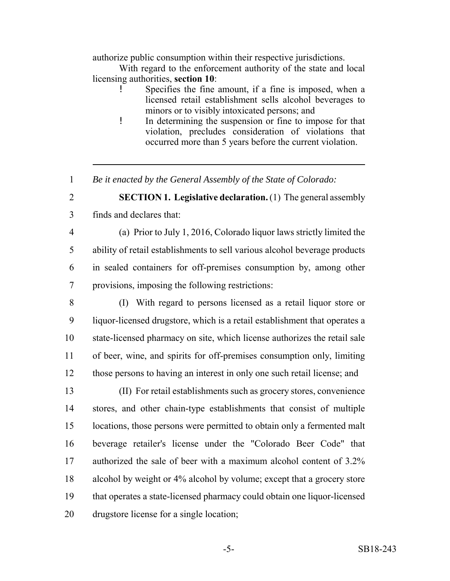authorize public consumption within their respective jurisdictions.

With regard to the enforcement authority of the state and local licensing authorities, **section 10**:

- Specifies the fine amount, if a fine is imposed, when a licensed retail establishment sells alcohol beverages to minors or to visibly intoxicated persons; and
- ! In determining the suspension or fine to impose for that violation, precludes consideration of violations that occurred more than 5 years before the current violation.
- *Be it enacted by the General Assembly of the State of Colorado:*

 **SECTION 1. Legislative declaration.** (1) The general assembly finds and declares that:

- (a) Prior to July 1, 2016, Colorado liquor laws strictly limited the ability of retail establishments to sell various alcohol beverage products in sealed containers for off-premises consumption by, among other provisions, imposing the following restrictions:
- (I) With regard to persons licensed as a retail liquor store or liquor-licensed drugstore, which is a retail establishment that operates a state-licensed pharmacy on site, which license authorizes the retail sale of beer, wine, and spirits for off-premises consumption only, limiting those persons to having an interest in only one such retail license; and
- (II) For retail establishments such as grocery stores, convenience stores, and other chain-type establishments that consist of multiple locations, those persons were permitted to obtain only a fermented malt beverage retailer's license under the "Colorado Beer Code" that authorized the sale of beer with a maximum alcohol content of 3.2% alcohol by weight or 4% alcohol by volume; except that a grocery store that operates a state-licensed pharmacy could obtain one liquor-licensed drugstore license for a single location;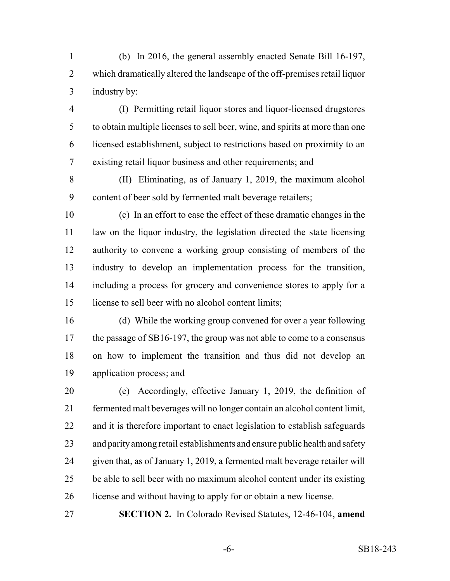(b) In 2016, the general assembly enacted Senate Bill 16-197, which dramatically altered the landscape of the off-premises retail liquor industry by:

 (I) Permitting retail liquor stores and liquor-licensed drugstores to obtain multiple licenses to sell beer, wine, and spirits at more than one licensed establishment, subject to restrictions based on proximity to an existing retail liquor business and other requirements; and

 (II) Eliminating, as of January 1, 2019, the maximum alcohol content of beer sold by fermented malt beverage retailers;

- (c) In an effort to ease the effect of these dramatic changes in the law on the liquor industry, the legislation directed the state licensing authority to convene a working group consisting of members of the industry to develop an implementation process for the transition, including a process for grocery and convenience stores to apply for a license to sell beer with no alcohol content limits;
- (d) While the working group convened for over a year following the passage of SB16-197, the group was not able to come to a consensus on how to implement the transition and thus did not develop an application process; and
- (e) Accordingly, effective January 1, 2019, the definition of fermented malt beverages will no longer contain an alcohol content limit, and it is therefore important to enact legislation to establish safeguards and parity among retail establishments and ensure public health and safety given that, as of January 1, 2019, a fermented malt beverage retailer will be able to sell beer with no maximum alcohol content under its existing license and without having to apply for or obtain a new license.

**SECTION 2.** In Colorado Revised Statutes, 12-46-104, **amend**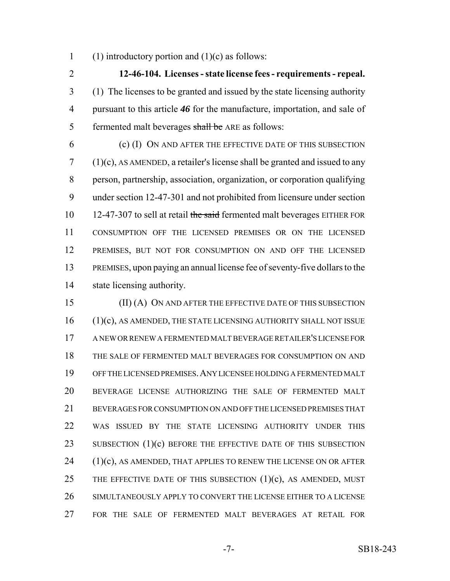1 (1) introductory portion and  $(1)(c)$  as follows:

 **12-46-104. Licenses - state license fees - requirements - repeal.** (1) The licenses to be granted and issued by the state licensing authority pursuant to this article *46* for the manufacture, importation, and sale of 5 fermented malt beverages shall be ARE as follows:

 (c) (I) ON AND AFTER THE EFFECTIVE DATE OF THIS SUBSECTION (1)(c), AS AMENDED, a retailer's license shall be granted and issued to any person, partnership, association, organization, or corporation qualifying under section 12-47-301 and not prohibited from licensure under section 10 12-47-307 to sell at retail the said fermented malt beverages EITHER FOR CONSUMPTION OFF THE LICENSED PREMISES OR ON THE LICENSED PREMISES, BUT NOT FOR CONSUMPTION ON AND OFF THE LICENSED PREMISES, upon paying an annual license fee of seventy-five dollars to the state licensing authority.

 (II) (A) ON AND AFTER THE EFFECTIVE DATE OF THIS SUBSECTION 16 (1)(c), AS AMENDED, THE STATE LICENSING AUTHORITY SHALL NOT ISSUE A NEW OR RENEW A FERMENTED MALT BEVERAGE RETAILER'S LICENSE FOR THE SALE OF FERMENTED MALT BEVERAGES FOR CONSUMPTION ON AND OFF THE LICENSED PREMISES.ANY LICENSEE HOLDING A FERMENTED MALT BEVERAGE LICENSE AUTHORIZING THE SALE OF FERMENTED MALT BEVERAGES FOR CONSUMPTION ON AND OFF THE LICENSED PREMISES THAT WAS ISSUED BY THE STATE LICENSING AUTHORITY UNDER THIS 23 SUBSECTION (1)(c) BEFORE THE EFFECTIVE DATE OF THIS SUBSECTION (1)(c), AS AMENDED, THAT APPLIES TO RENEW THE LICENSE ON OR AFTER 25 THE EFFECTIVE DATE OF THIS SUBSECTION  $(1)(c)$ , AS AMENDED, MUST SIMULTANEOUSLY APPLY TO CONVERT THE LICENSE EITHER TO A LICENSE FOR THE SALE OF FERMENTED MALT BEVERAGES AT RETAIL FOR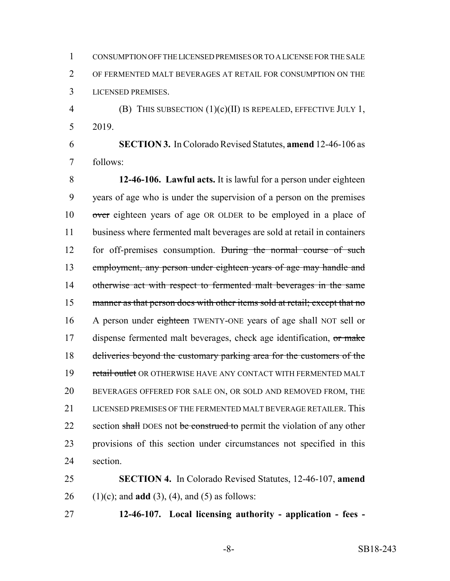CONSUMPTION OFF THE LICENSED PREMISES OR TO A LICENSE FOR THE SALE OF FERMENTED MALT BEVERAGES AT RETAIL FOR CONSUMPTION ON THE LICENSED PREMISES.

 (B) THIS SUBSECTION (1)(c)(II) IS REPEALED, EFFECTIVE JULY 1, 2019.

 **SECTION 3.** In Colorado Revised Statutes, **amend** 12-46-106 as follows:

 **12-46-106. Lawful acts.** It is lawful for a person under eighteen years of age who is under the supervision of a person on the premises over eighteen years of age OR OLDER to be employed in a place of business where fermented malt beverages are sold at retail in containers for off-premises consumption. During the normal course of such employment, any person under eighteen years of age may handle and 14 otherwise act with respect to fermented malt beverages in the same 15 manner as that person does with other items sold at retail; except that no 16 A person under eighteen TWENTY-ONE years of age shall NOT sell or 17 dispense fermented malt beverages, check age identification, or make deliveries beyond the customary parking area for the customers of the 19 retail outlet OR OTHERWISE HAVE ANY CONTACT WITH FERMENTED MALT BEVERAGES OFFERED FOR SALE ON, OR SOLD AND REMOVED FROM, THE LICENSED PREMISES OF THE FERMENTED MALT BEVERAGE RETAILER. This 22 section shall DOES not be construed to permit the violation of any other provisions of this section under circumstances not specified in this section.

 **SECTION 4.** In Colorado Revised Statutes, 12-46-107, **amend** 26 (1)(c); and **add** (3), (4), and (5) as follows:

**12-46-107. Local licensing authority - application - fees -**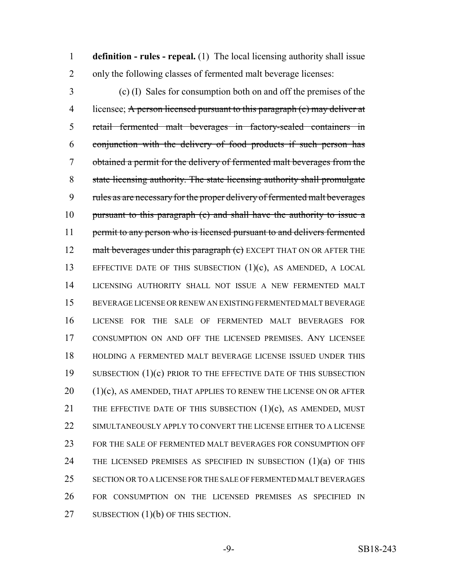**definition - rules - repeal.** (1) The local licensing authority shall issue only the following classes of fermented malt beverage licenses:

 (c) (I) Sales for consumption both on and off the premises of the 4 licensee; A person licensed pursuant to this paragraph (c) may deliver at retail fermented malt beverages in factory-sealed containers in conjunction with the delivery of food products if such person has obtained a permit for the delivery of fermented malt beverages from the state licensing authority. The state licensing authority shall promulgate rules as are necessary for the proper delivery of fermented malt beverages 10 pursuant to this paragraph (c) and shall have the authority to issue a 11 permit to any person who is licensed pursuant to and delivers fermented 12 malt beverages under this paragraph (c) EXCEPT THAT ON OR AFTER THE EFFECTIVE DATE OF THIS SUBSECTION (1)(c), AS AMENDED, A LOCAL LICENSING AUTHORITY SHALL NOT ISSUE A NEW FERMENTED MALT BEVERAGE LICENSE OR RENEW AN EXISTING FERMENTED MALT BEVERAGE LICENSE FOR THE SALE OF FERMENTED MALT BEVERAGES FOR CONSUMPTION ON AND OFF THE LICENSED PREMISES. ANY LICENSEE HOLDING A FERMENTED MALT BEVERAGE LICENSE ISSUED UNDER THIS 19 SUBSECTION (1)(c) PRIOR TO THE EFFECTIVE DATE OF THIS SUBSECTION (1)(c), AS AMENDED, THAT APPLIES TO RENEW THE LICENSE ON OR AFTER 21 THE EFFECTIVE DATE OF THIS SUBSECTION  $(1)(c)$ , AS AMENDED, MUST SIMULTANEOUSLY APPLY TO CONVERT THE LICENSE EITHER TO A LICENSE FOR THE SALE OF FERMENTED MALT BEVERAGES FOR CONSUMPTION OFF THE LICENSED PREMISES AS SPECIFIED IN SUBSECTION (1)(a) OF THIS SECTION OR TO A LICENSE FOR THE SALE OF FERMENTED MALT BEVERAGES FOR CONSUMPTION ON THE LICENSED PREMISES AS SPECIFIED IN 27 SUBSECTION (1)(b) OF THIS SECTION.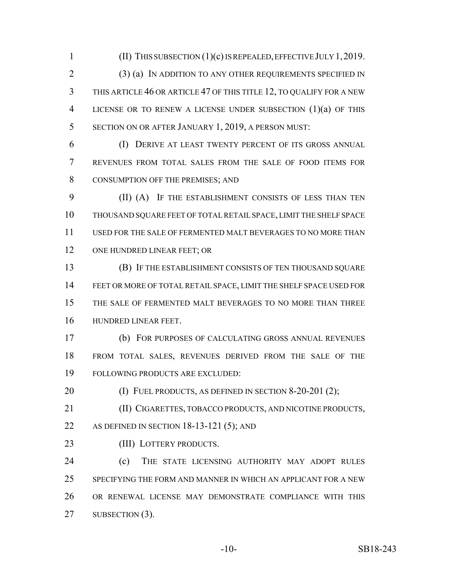(II) THIS SUBSECTION (1)(c) IS REPEALED, EFFECTIVE JULY 1,2019. (3) (a) IN ADDITION TO ANY OTHER REQUIREMENTS SPECIFIED IN THIS ARTICLE 46 OR ARTICLE 47 OF THIS TITLE 12, TO QUALIFY FOR A NEW LICENSE OR TO RENEW A LICENSE UNDER SUBSECTION (1)(a) OF THIS SECTION ON OR AFTER JANUARY 1, 2019, A PERSON MUST:

 (I) DERIVE AT LEAST TWENTY PERCENT OF ITS GROSS ANNUAL REVENUES FROM TOTAL SALES FROM THE SALE OF FOOD ITEMS FOR CONSUMPTION OFF THE PREMISES; AND

 (II) (A) IF THE ESTABLISHMENT CONSISTS OF LESS THAN TEN THOUSAND SQUARE FEET OF TOTAL RETAIL SPACE, LIMIT THE SHELF SPACE USED FOR THE SALE OF FERMENTED MALT BEVERAGES TO NO MORE THAN 12 ONE HUNDRED LINEAR FEET; OR

 (B) IF THE ESTABLISHMENT CONSISTS OF TEN THOUSAND SQUARE FEET OR MORE OF TOTAL RETAIL SPACE, LIMIT THE SHELF SPACE USED FOR THE SALE OF FERMENTED MALT BEVERAGES TO NO MORE THAN THREE HUNDRED LINEAR FEET.

 (b) FOR PURPOSES OF CALCULATING GROSS ANNUAL REVENUES FROM TOTAL SALES, REVENUES DERIVED FROM THE SALE OF THE FOLLOWING PRODUCTS ARE EXCLUDED:

**(I) FUEL PRODUCTS, AS DEFINED IN SECTION 8-20-201 (2);** 

 (II) CIGARETTES, TOBACCO PRODUCTS, AND NICOTINE PRODUCTS, 22 AS DEFINED IN SECTION 18-13-121 (5); AND

23 (III) LOTTERY PRODUCTS.

 (c) THE STATE LICENSING AUTHORITY MAY ADOPT RULES SPECIFYING THE FORM AND MANNER IN WHICH AN APPLICANT FOR A NEW OR RENEWAL LICENSE MAY DEMONSTRATE COMPLIANCE WITH THIS 27 SUBSECTION (3).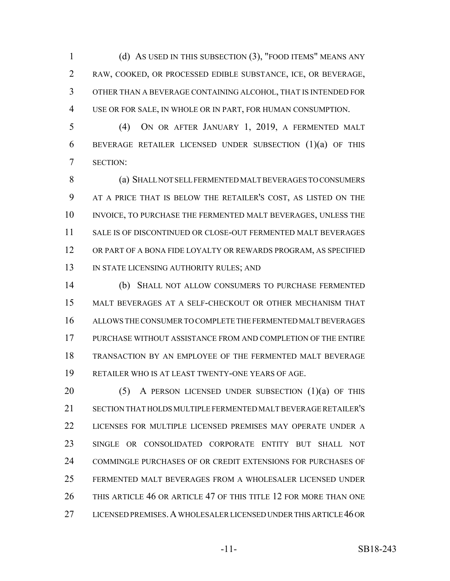(d) AS USED IN THIS SUBSECTION (3), "FOOD ITEMS" MEANS ANY RAW, COOKED, OR PROCESSED EDIBLE SUBSTANCE, ICE, OR BEVERAGE, OTHER THAN A BEVERAGE CONTAINING ALCOHOL, THAT IS INTENDED FOR USE OR FOR SALE, IN WHOLE OR IN PART, FOR HUMAN CONSUMPTION.

 (4) ON OR AFTER JANUARY 1, 2019, A FERMENTED MALT 6 BEVERAGE RETAILER LICENSED UNDER SUBSECTION  $(1)(a)$  OF THIS SECTION:

 (a) SHALL NOT SELL FERMENTED MALT BEVERAGES TO CONSUMERS AT A PRICE THAT IS BELOW THE RETAILER'S COST, AS LISTED ON THE INVOICE, TO PURCHASE THE FERMENTED MALT BEVERAGES, UNLESS THE SALE IS OF DISCONTINUED OR CLOSE-OUT FERMENTED MALT BEVERAGES OR PART OF A BONA FIDE LOYALTY OR REWARDS PROGRAM, AS SPECIFIED 13 IN STATE LICENSING AUTHORITY RULES; AND

 (b) SHALL NOT ALLOW CONSUMERS TO PURCHASE FERMENTED MALT BEVERAGES AT A SELF-CHECKOUT OR OTHER MECHANISM THAT ALLOWS THE CONSUMER TO COMPLETE THE FERMENTED MALT BEVERAGES PURCHASE WITHOUT ASSISTANCE FROM AND COMPLETION OF THE ENTIRE TRANSACTION BY AN EMPLOYEE OF THE FERMENTED MALT BEVERAGE RETAILER WHO IS AT LEAST TWENTY-ONE YEARS OF AGE.

 $(5)$  A PERSON LICENSED UNDER SUBSECTION  $(1)(a)$  of this SECTION THAT HOLDS MULTIPLE FERMENTED MALT BEVERAGE RETAILER'S LICENSES FOR MULTIPLE LICENSED PREMISES MAY OPERATE UNDER A SINGLE OR CONSOLIDATED CORPORATE ENTITY BUT SHALL NOT COMMINGLE PURCHASES OF OR CREDIT EXTENSIONS FOR PURCHASES OF FERMENTED MALT BEVERAGES FROM A WHOLESALER LICENSED UNDER THIS ARTICLE 46 OR ARTICLE 47 OF THIS TITLE 12 FOR MORE THAN ONE LICENSED PREMISES.A WHOLESALER LICENSED UNDER THIS ARTICLE 46 OR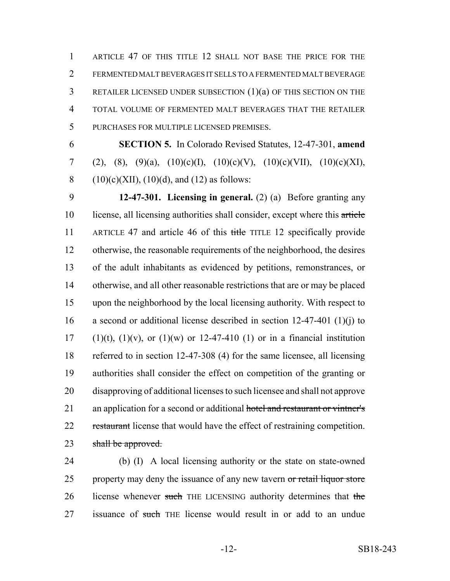ARTICLE 47 OF THIS TITLE 12 SHALL NOT BASE THE PRICE FOR THE FERMENTED MALT BEVERAGES IT SELLS TO A FERMENTED MALT BEVERAGE RETAILER LICENSED UNDER SUBSECTION (1)(a) OF THIS SECTION ON THE TOTAL VOLUME OF FERMENTED MALT BEVERAGES THAT THE RETAILER PURCHASES FOR MULTIPLE LICENSED PREMISES.

6 **SECTION 5.** In Colorado Revised Statutes, 12-47-301, **amend** 7 (2), (8), (9)(a), (10)(c)(I), (10)(c)(V), (10)(c)(VII), (10)(c)(XI), 8 (10)(c)(XII), (10)(d), and (12) as follows:

9 **12-47-301. Licensing in general.** (2) (a) Before granting any 10 license, all licensing authorities shall consider, except where this article 11 ARTICLE 47 and article 46 of this title TITLE 12 specifically provide 12 otherwise, the reasonable requirements of the neighborhood, the desires 13 of the adult inhabitants as evidenced by petitions, remonstrances, or 14 otherwise, and all other reasonable restrictions that are or may be placed 15 upon the neighborhood by the local licensing authority. With respect to 16 a second or additional license described in section 12-47-401 (1)(j) to 17 (1)(t), (1)(v), or (1)(w) or 12-47-410 (1) or in a financial institution 18 referred to in section 12-47-308 (4) for the same licensee, all licensing 19 authorities shall consider the effect on competition of the granting or 20 disapproving of additional licenses to such licensee and shall not approve 21 an application for a second or additional hotel and restaurant or vintner's 22 restaurant license that would have the effect of restraining competition. 23 shall be approved.

24 (b) (I) A local licensing authority or the state on state-owned 25 property may deny the issuance of any new tavern or retail liquor store 26 license whenever such THE LICENSING authority determines that the 27 issuance of such THE license would result in or add to an undue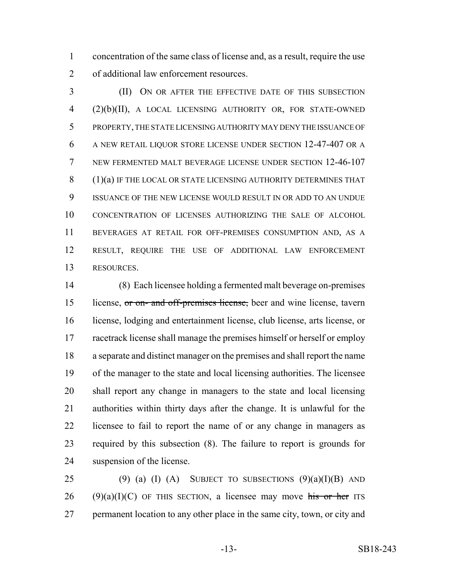concentration of the same class of license and, as a result, require the use of additional law enforcement resources.

 (II) ON OR AFTER THE EFFECTIVE DATE OF THIS SUBSECTION (2)(b)(II), A LOCAL LICENSING AUTHORITY OR, FOR STATE-OWNED PROPERTY, THE STATE LICENSING AUTHORITY MAY DENY THE ISSUANCE OF A NEW RETAIL LIQUOR STORE LICENSE UNDER SECTION 12-47-407 OR A NEW FERMENTED MALT BEVERAGE LICENSE UNDER SECTION 12-46-107 8 (1)(a) IF THE LOCAL OR STATE LICENSING AUTHORITY DETERMINES THAT ISSUANCE OF THE NEW LICENSE WOULD RESULT IN OR ADD TO AN UNDUE CONCENTRATION OF LICENSES AUTHORIZING THE SALE OF ALCOHOL BEVERAGES AT RETAIL FOR OFF-PREMISES CONSUMPTION AND, AS A RESULT, REQUIRE THE USE OF ADDITIONAL LAW ENFORCEMENT RESOURCES.

 (8) Each licensee holding a fermented malt beverage on-premises license, or on- and off-premises license, beer and wine license, tavern license, lodging and entertainment license, club license, arts license, or 17 racetrack license shall manage the premises himself or herself or employ a separate and distinct manager on the premises and shall report the name of the manager to the state and local licensing authorities. The licensee shall report any change in managers to the state and local licensing authorities within thirty days after the change. It is unlawful for the licensee to fail to report the name of or any change in managers as required by this subsection (8). The failure to report is grounds for suspension of the license.

25 (9) (a) (I) (A) SUBJECT TO SUBSECTIONS  $(9)(a)(I)(B)$  AND 26 (9)(a)(I)(C) OF THIS SECTION, a licensee may move his or her ITS permanent location to any other place in the same city, town, or city and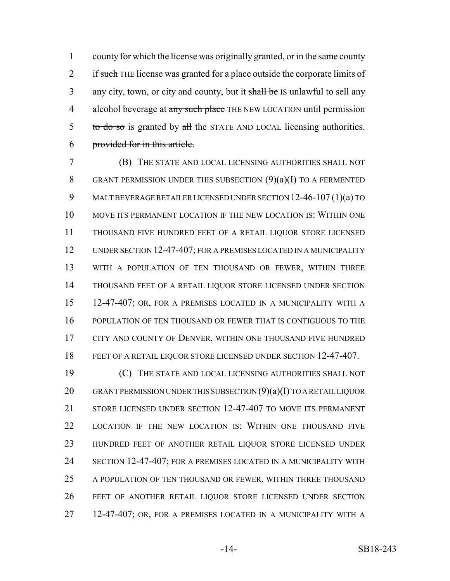county for which the license was originally granted, or in the same county 2 if such THE license was granted for a place outside the corporate limits of 3 any city, town, or city and county, but it shall be IS unlawful to sell any 4 alcohol beverage at any such place THE NEW LOCATION until permission 5 to do so is granted by all the STATE AND LOCAL licensing authorities. provided for in this article.

 (B) THE STATE AND LOCAL LICENSING AUTHORITIES SHALL NOT 8 GRANT PERMISSION UNDER THIS SUBSECTION  $(9)(a)(I)$  TO A FERMENTED MALT BEVERAGE RETAILER LICENSED UNDER SECTION 12-46-107 (1)(a) TO MOVE ITS PERMANENT LOCATION IF THE NEW LOCATION IS: WITHIN ONE THOUSAND FIVE HUNDRED FEET OF A RETAIL LIQUOR STORE LICENSED UNDER SECTION 12-47-407; FOR A PREMISES LOCATED IN A MUNICIPALITY WITH A POPULATION OF TEN THOUSAND OR FEWER, WITHIN THREE THOUSAND FEET OF A RETAIL LIQUOR STORE LICENSED UNDER SECTION 12-47-407; OR, FOR A PREMISES LOCATED IN A MUNICIPALITY WITH A POPULATION OF TEN THOUSAND OR FEWER THAT IS CONTIGUOUS TO THE 17 CITY AND COUNTY OF DENVER, WITHIN ONE THOUSAND FIVE HUNDRED FEET OF A RETAIL LIQUOR STORE LICENSED UNDER SECTION 12-47-407.

 (C) THE STATE AND LOCAL LICENSING AUTHORITIES SHALL NOT 20 GRANT PERMISSION UNDER THIS SUBSECTION (9)(a)(I) TO A RETAIL LIQUOR STORE LICENSED UNDER SECTION 12-47-407 TO MOVE ITS PERMANENT LOCATION IF THE NEW LOCATION IS: WITHIN ONE THOUSAND FIVE HUNDRED FEET OF ANOTHER RETAIL LIQUOR STORE LICENSED UNDER SECTION 12-47-407; FOR A PREMISES LOCATED IN A MUNICIPALITY WITH A POPULATION OF TEN THOUSAND OR FEWER, WITHIN THREE THOUSAND FEET OF ANOTHER RETAIL LIQUOR STORE LICENSED UNDER SECTION 12-47-407; OR, FOR A PREMISES LOCATED IN A MUNICIPALITY WITH A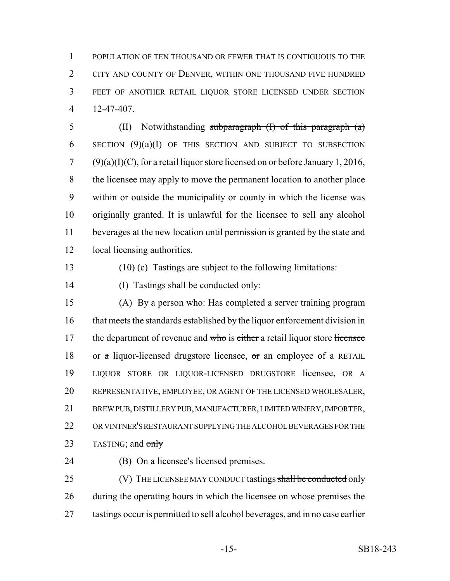POPULATION OF TEN THOUSAND OR FEWER THAT IS CONTIGUOUS TO THE 2 CITY AND COUNTY OF DENVER, WITHIN ONE THOUSAND FIVE HUNDRED FEET OF ANOTHER RETAIL LIQUOR STORE LICENSED UNDER SECTION 12-47-407.

 (II) Notwithstanding subparagraph (I) of this paragraph (a) 6 SECTION  $(9)(a)(I)$  OF THIS SECTION AND SUBJECT TO SUBSECTION (9)(a)(I)(C), for a retail liquor store licensed on or before January 1, 2016, the licensee may apply to move the permanent location to another place within or outside the municipality or county in which the license was originally granted. It is unlawful for the licensee to sell any alcohol beverages at the new location until permission is granted by the state and local licensing authorities.

(10) (c) Tastings are subject to the following limitations:

(I) Tastings shall be conducted only:

 (A) By a person who: Has completed a server training program that meets the standards established by the liquor enforcement division in 17 the department of revenue and who is either a retail liquor store licensee 18 or a liquor-licensed drugstore licensee, or an employee of a RETAIL LIQUOR STORE OR LIQUOR-LICENSED DRUGSTORE licensee, OR A REPRESENTATIVE, EMPLOYEE, OR AGENT OF THE LICENSED WHOLESALER, BREW PUB, DISTILLERY PUB, MANUFACTURER, LIMITED WINERY, IMPORTER, OR VINTNER'S RESTAURANT SUPPLYING THE ALCOHOL BEVERAGES FOR THE 23 TASTING; and only

(B) On a licensee's licensed premises.

25 (V) THE LICENSEE MAY CONDUCT tastings shall be conducted only during the operating hours in which the licensee on whose premises the tastings occur is permitted to sell alcohol beverages, and in no case earlier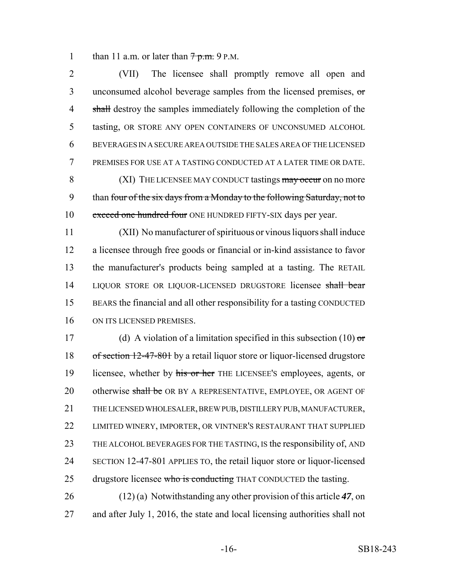1 than 11 a.m. or later than  $7p.m.$  9 P.M.

2 (VII) The licensee shall promptly remove all open and 3 unconsumed alcohol beverage samples from the licensed premises, or 4 shall destroy the samples immediately following the completion of the 5 tasting, OR STORE ANY OPEN CONTAINERS OF UNCONSUMED ALCOHOL 6 BEVERAGES IN A SECURE AREA OUTSIDE THE SALES AREA OF THE LICENSED 7 PREMISES FOR USE AT A TASTING CONDUCTED AT A LATER TIME OR DATE. 8 (XI) THE LICENSEE MAY CONDUCT tastings may occur on no more

9 than four of the six days from a Monday to the following Saturday, not to 10 exceed one hundred four ONE HUNDRED FIFTY-SIX days per year.

 (XII) No manufacturer of spirituous or vinous liquors shall induce a licensee through free goods or financial or in-kind assistance to favor the manufacturer's products being sampled at a tasting. The RETAIL 14 LIQUOR STORE OR LIQUOR-LICENSED DRUGSTORE licensee shall bear BEARS the financial and all other responsibility for a tasting CONDUCTED ON ITS LICENSED PREMISES.

17 (d) A violation of a limitation specified in this subsection  $(10)$  or 18 of section 12-47-801 by a retail liquor store or liquor-licensed drugstore 19 licensee, whether by his or her THE LICENSEE's employees, agents, or 20 otherwise shall be OR BY A REPRESENTATIVE, EMPLOYEE, OR AGENT OF 21 THE LICENSED WHOLESALER, BREW PUB, DISTILLERY PUB, MANUFACTURER, 22 LIMITED WINERY, IMPORTER, OR VINTNER'S RESTAURANT THAT SUPPLIED 23 THE ALCOHOL BEVERAGES FOR THE TASTING, IS the responsibility of, AND 24 SECTION 12-47-801 APPLIES TO, the retail liquor store or liquor-licensed 25 drugstore licensee who is conducting THAT CONDUCTED the tasting.

26 (12) (a) Notwithstanding any other provision of this article *47*, on 27 and after July 1, 2016, the state and local licensing authorities shall not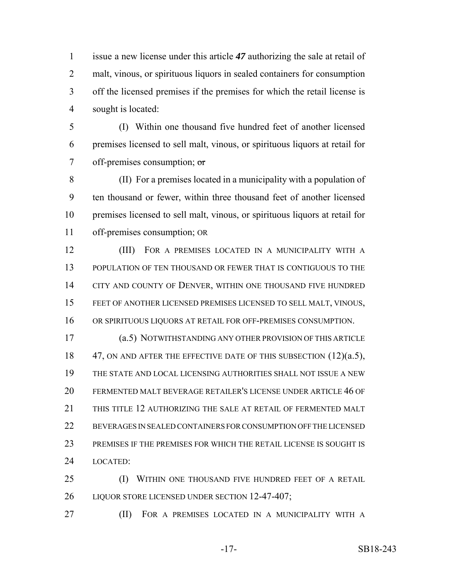issue a new license under this article *47* authorizing the sale at retail of malt, vinous, or spirituous liquors in sealed containers for consumption off the licensed premises if the premises for which the retail license is sought is located:

 (I) Within one thousand five hundred feet of another licensed premises licensed to sell malt, vinous, or spirituous liquors at retail for 7 off-premises consumption;  $\sigma$ 

 (II) For a premises located in a municipality with a population of ten thousand or fewer, within three thousand feet of another licensed premises licensed to sell malt, vinous, or spirituous liquors at retail for off-premises consumption; OR

 (III) FOR A PREMISES LOCATED IN A MUNICIPALITY WITH A POPULATION OF TEN THOUSAND OR FEWER THAT IS CONTIGUOUS TO THE 14 CITY AND COUNTY OF DENVER, WITHIN ONE THOUSAND FIVE HUNDRED FEET OF ANOTHER LICENSED PREMISES LICENSED TO SELL MALT, VINOUS, OR SPIRITUOUS LIQUORS AT RETAIL FOR OFF-PREMISES CONSUMPTION.

 (a.5) NOTWITHSTANDING ANY OTHER PROVISION OF THIS ARTICLE 18 47, ON AND AFTER THE EFFECTIVE DATE OF THIS SUBSECTION (12)(a.5), THE STATE AND LOCAL LICENSING AUTHORITIES SHALL NOT ISSUE A NEW FERMENTED MALT BEVERAGE RETAILER'S LICENSE UNDER ARTICLE 46 OF THIS TITLE 12 AUTHORIZING THE SALE AT RETAIL OF FERMENTED MALT BEVERAGES IN SEALED CONTAINERS FOR CONSUMPTION OFF THE LICENSED PREMISES IF THE PREMISES FOR WHICH THE RETAIL LICENSE IS SOUGHT IS LOCATED:

 (I) WITHIN ONE THOUSAND FIVE HUNDRED FEET OF A RETAIL 26 LIQUOR STORE LICENSED UNDER SECTION 12-47-407;

(II) FOR A PREMISES LOCATED IN A MUNICIPALITY WITH A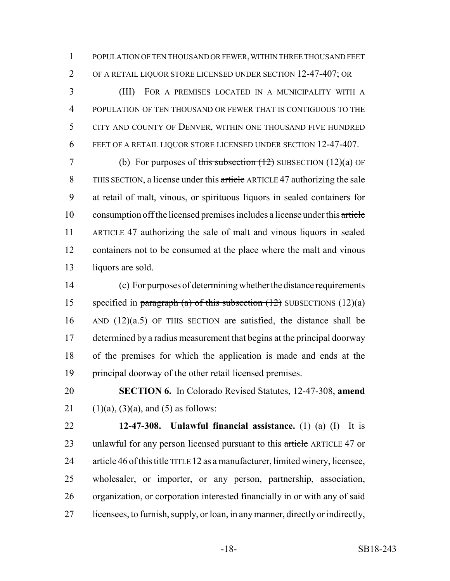POPULATION OF TEN THOUSAND OR FEWER, WITHIN THREE THOUSAND FEET OF A RETAIL LIQUOR STORE LICENSED UNDER SECTION 12-47-407; OR

 (III) FOR A PREMISES LOCATED IN A MUNICIPALITY WITH A POPULATION OF TEN THOUSAND OR FEWER THAT IS CONTIGUOUS TO THE CITY AND COUNTY OF DENVER, WITHIN ONE THOUSAND FIVE HUNDRED FEET OF A RETAIL LIQUOR STORE LICENSED UNDER SECTION 12-47-407.

7 (b) For purposes of this subsection  $(12)$  SUBSECTION  $(12)(a)$  OF THIS SECTION, a license under this article ARTICLE 47 authorizing the sale at retail of malt, vinous, or spirituous liquors in sealed containers for consumption off the licensed premises includes a license under this article ARTICLE 47 authorizing the sale of malt and vinous liquors in sealed containers not to be consumed at the place where the malt and vinous liquors are sold.

 (c) For purposes of determining whether the distance requirements 15 specified in paragraph (a) of this subsection  $(12)$  SUBSECTIONS  $(12)(a)$  AND (12)(a.5) OF THIS SECTION are satisfied, the distance shall be determined by a radius measurement that begins at the principal doorway of the premises for which the application is made and ends at the principal doorway of the other retail licensed premises.

 **SECTION 6.** In Colorado Revised Statutes, 12-47-308, **amend** 21 (1)(a), (3)(a), and (5) as follows:

 **12-47-308. Unlawful financial assistance.** (1) (a) (I) It is 23 unlawful for any person licensed pursuant to this article ARTICLE 47 or 24 article 46 of this title TITLE 12 as a manufacturer, limited winery, licensee, wholesaler, or importer, or any person, partnership, association, organization, or corporation interested financially in or with any of said licensees, to furnish, supply, or loan, in any manner, directly or indirectly,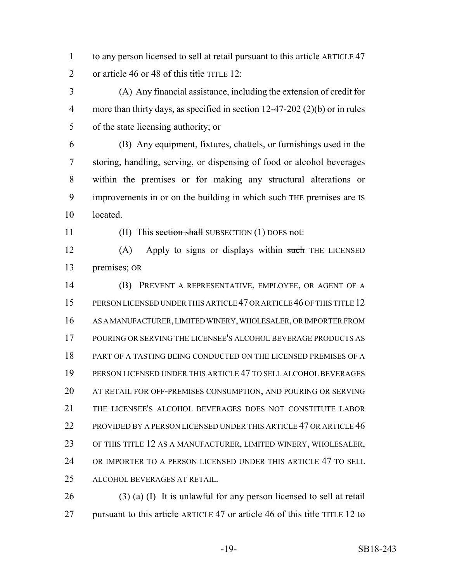1 to any person licensed to sell at retail pursuant to this article ARTICLE 47 2 or article 46 or 48 of this title TITLE 12:

 (A) Any financial assistance, including the extension of credit for more than thirty days, as specified in section 12-47-202 (2)(b) or in rules of the state licensing authority; or

 (B) Any equipment, fixtures, chattels, or furnishings used in the storing, handling, serving, or dispensing of food or alcohol beverages within the premises or for making any structural alterations or 9 improvements in or on the building in which such THE premises are IS located.

11 (II) This section shall SUBSECTION (1) DOES not:

12 (A) Apply to signs or displays within such THE LICENSED premises; OR

 (B) PREVENT A REPRESENTATIVE, EMPLOYEE, OR AGENT OF A PERSON LICENSED UNDER THIS ARTICLE 47 OR ARTICLE 46 OF THIS TITLE 12 AS A MANUFACTURER, LIMITED WINERY, WHOLESALER, OR IMPORTER FROM POURING OR SERVING THE LICENSEE'S ALCOHOL BEVERAGE PRODUCTS AS PART OF A TASTING BEING CONDUCTED ON THE LICENSED PREMISES OF A PERSON LICENSED UNDER THIS ARTICLE 47 TO SELL ALCOHOL BEVERAGES AT RETAIL FOR OFF-PREMISES CONSUMPTION, AND POURING OR SERVING THE LICENSEE'S ALCOHOL BEVERAGES DOES NOT CONSTITUTE LABOR 22 PROVIDED BY A PERSON LICENSED UNDER THIS ARTICLE 47 OR ARTICLE 46 OF THIS TITLE 12 AS A MANUFACTURER, LIMITED WINERY, WHOLESALER, OR IMPORTER TO A PERSON LICENSED UNDER THIS ARTICLE 47 TO SELL ALCOHOL BEVERAGES AT RETAIL.

 (3) (a) (I) It is unlawful for any person licensed to sell at retail 27 pursuant to this article ARTICLE 47 or article 46 of this title TITLE 12 to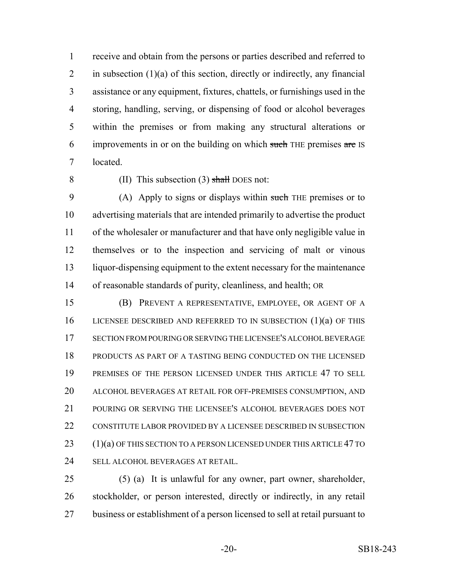receive and obtain from the persons or parties described and referred to 2 in subsection  $(1)(a)$  of this section, directly or indirectly, any financial assistance or any equipment, fixtures, chattels, or furnishings used in the storing, handling, serving, or dispensing of food or alcohol beverages within the premises or from making any structural alterations or 6 improvements in or on the building on which such THE premises are IS located.

8 (II) This subsection  $(3)$  shall DOES not:

9 (A) Apply to signs or displays within such THE premises or to advertising materials that are intended primarily to advertise the product of the wholesaler or manufacturer and that have only negligible value in themselves or to the inspection and servicing of malt or vinous liquor-dispensing equipment to the extent necessary for the maintenance of reasonable standards of purity, cleanliness, and health; OR

 (B) PREVENT A REPRESENTATIVE, EMPLOYEE, OR AGENT OF A LICENSEE DESCRIBED AND REFERRED TO IN SUBSECTION (1)(a) OF THIS SECTION FROM POURING OR SERVING THE LICENSEE'S ALCOHOL BEVERAGE PRODUCTS AS PART OF A TASTING BEING CONDUCTED ON THE LICENSED PREMISES OF THE PERSON LICENSED UNDER THIS ARTICLE 47 TO SELL ALCOHOL BEVERAGES AT RETAIL FOR OFF-PREMISES CONSUMPTION, AND POURING OR SERVING THE LICENSEE'S ALCOHOL BEVERAGES DOES NOT 22 CONSTITUTE LABOR PROVIDED BY A LICENSEE DESCRIBED IN SUBSECTION (1)(a) OF THIS SECTION TO A PERSON LICENSED UNDER THIS ARTICLE 47 TO SELL ALCOHOL BEVERAGES AT RETAIL.

 (5) (a) It is unlawful for any owner, part owner, shareholder, stockholder, or person interested, directly or indirectly, in any retail business or establishment of a person licensed to sell at retail pursuant to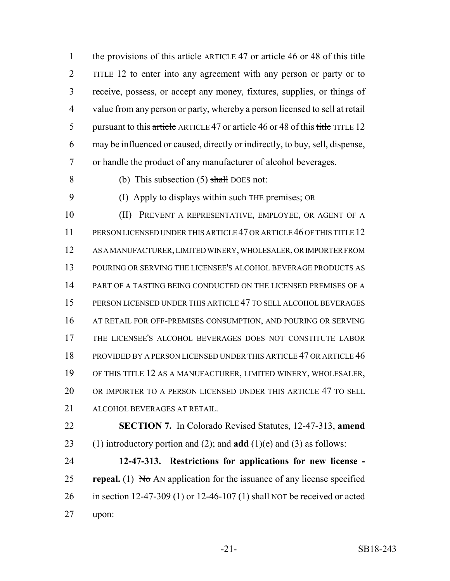1 the provisions of this article ARTICLE 47 or article 46 or 48 of this title TITLE 12 to enter into any agreement with any person or party or to receive, possess, or accept any money, fixtures, supplies, or things of value from any person or party, whereby a person licensed to sell at retail 5 pursuant to this article ARTICLE 47 or article 46 or 48 of this title TITLE 12 may be influenced or caused, directly or indirectly, to buy, sell, dispense, or handle the product of any manufacturer of alcohol beverages.

8 (b) This subsection  $(5)$  shall DOES not:

9 (I) Apply to displays within such THE premises; OR

 (II) PREVENT A REPRESENTATIVE, EMPLOYEE, OR AGENT OF A PERSON LICENSED UNDER THIS ARTICLE 47 OR ARTICLE 46 OF THIS TITLE 12 AS A MANUFACTURER, LIMITED WINERY, WHOLESALER, OR IMPORTER FROM POURING OR SERVING THE LICENSEE'S ALCOHOL BEVERAGE PRODUCTS AS PART OF A TASTING BEING CONDUCTED ON THE LICENSED PREMISES OF A PERSON LICENSED UNDER THIS ARTICLE 47 TO SELL ALCOHOL BEVERAGES AT RETAIL FOR OFF-PREMISES CONSUMPTION, AND POURING OR SERVING THE LICENSEE'S ALCOHOL BEVERAGES DOES NOT CONSTITUTE LABOR PROVIDED BY A PERSON LICENSED UNDER THIS ARTICLE 47 OR ARTICLE 46 OF THIS TITLE 12 AS A MANUFACTURER, LIMITED WINERY, WHOLESALER, OR IMPORTER TO A PERSON LICENSED UNDER THIS ARTICLE 47 TO SELL ALCOHOL BEVERAGES AT RETAIL.

 **SECTION 7.** In Colorado Revised Statutes, 12-47-313, **amend** (1) introductory portion and (2); and **add** (1)(e) and (3) as follows:

 **12-47-313. Restrictions for applications for new license - repeal.** (1)  $N\sigma$  AN application for the issuance of any license specified in section 12-47-309 (1) or 12-46-107 (1) shall NOT be received or acted upon: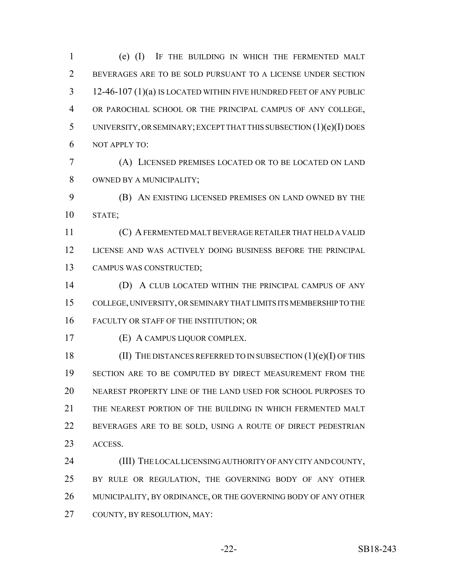(e) (I) IF THE BUILDING IN WHICH THE FERMENTED MALT BEVERAGES ARE TO BE SOLD PURSUANT TO A LICENSE UNDER SECTION 12-46-107 (1)(a) IS LOCATED WITHIN FIVE HUNDRED FEET OF ANY PUBLIC OR PAROCHIAL SCHOOL OR THE PRINCIPAL CAMPUS OF ANY COLLEGE, UNIVERSITY, OR SEMINARY; EXCEPT THAT THIS SUBSECTION (1)(e)(I) DOES NOT APPLY TO: (A) LICENSED PREMISES LOCATED OR TO BE LOCATED ON LAND OWNED BY A MUNICIPALITY; (B) AN EXISTING LICENSED PREMISES ON LAND OWNED BY THE STATE;

 (C) A FERMENTED MALT BEVERAGE RETAILER THAT HELD A VALID LICENSE AND WAS ACTIVELY DOING BUSINESS BEFORE THE PRINCIPAL CAMPUS WAS CONSTRUCTED;

 (D) A CLUB LOCATED WITHIN THE PRINCIPAL CAMPUS OF ANY COLLEGE, UNIVERSITY, OR SEMINARY THAT LIMITS ITS MEMBERSHIP TO THE FACULTY OR STAFF OF THE INSTITUTION; OR

(E) A CAMPUS LIQUOR COMPLEX.

18 (II) THE DISTANCES REFERRED TO IN SUBSECTION (1)(e)(I) OF THIS SECTION ARE TO BE COMPUTED BY DIRECT MEASUREMENT FROM THE NEAREST PROPERTY LINE OF THE LAND USED FOR SCHOOL PURPOSES TO THE NEAREST PORTION OF THE BUILDING IN WHICH FERMENTED MALT BEVERAGES ARE TO BE SOLD, USING A ROUTE OF DIRECT PEDESTRIAN ACCESS.

 (III) THE LOCAL LICENSING AUTHORITY OF ANY CITY AND COUNTY, BY RULE OR REGULATION, THE GOVERNING BODY OF ANY OTHER MUNICIPALITY, BY ORDINANCE, OR THE GOVERNING BODY OF ANY OTHER COUNTY, BY RESOLUTION, MAY: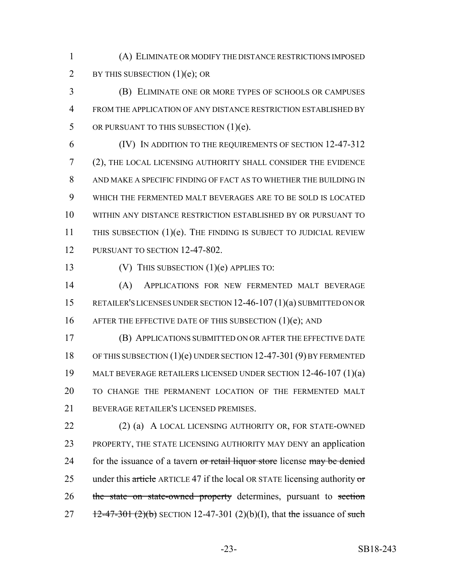(A) ELIMINATE OR MODIFY THE DISTANCE RESTRICTIONS IMPOSED 2 BY THIS SUBSECTION  $(1)(e)$ ; OR

 (B) ELIMINATE ONE OR MORE TYPES OF SCHOOLS OR CAMPUSES FROM THE APPLICATION OF ANY DISTANCE RESTRICTION ESTABLISHED BY 5 OR PURSUANT TO THIS SUBSECTION  $(1)(e)$ .

 (IV) IN ADDITION TO THE REQUIREMENTS OF SECTION 12-47-312 (2), THE LOCAL LICENSING AUTHORITY SHALL CONSIDER THE EVIDENCE AND MAKE A SPECIFIC FINDING OF FACT AS TO WHETHER THE BUILDING IN WHICH THE FERMENTED MALT BEVERAGES ARE TO BE SOLD IS LOCATED WITHIN ANY DISTANCE RESTRICTION ESTABLISHED BY OR PURSUANT TO 11 THIS SUBSECTION (1)(e). THE FINDING IS SUBJECT TO JUDICIAL REVIEW 12 PURSUANT TO SECTION 12-47-802.

(V) THIS SUBSECTION (1)(e) APPLIES TO:

 (A) APPLICATIONS FOR NEW FERMENTED MALT BEVERAGE RETAILER'S LICENSES UNDER SECTION 12-46-107 (1)(a) SUBMITTED ON OR 16 AFTER THE EFFECTIVE DATE OF THIS SUBSECTION (1)(e); AND

 (B) APPLICATIONS SUBMITTED ON OR AFTER THE EFFECTIVE DATE OF THIS SUBSECTION (1)(e) UNDER SECTION 12-47-301 (9) BY FERMENTED MALT BEVERAGE RETAILERS LICENSED UNDER SECTION 12-46-107 (1)(a) TO CHANGE THE PERMANENT LOCATION OF THE FERMENTED MALT BEVERAGE RETAILER'S LICENSED PREMISES.

22 (2) (a) A LOCAL LICENSING AUTHORITY OR, FOR STATE-OWNED PROPERTY, THE STATE LICENSING AUTHORITY MAY DENY an application 24 for the issuance of a tavern or retail liquor store license may be denied 25 under this article ARTICLE 47 if the local OR STATE licensing authority or 26 the state on state-owned property determines, pursuant to section 27  $12-47-301 (2)(b)$  SECTION 12-47-301 (2)(b)(I), that the issuance of such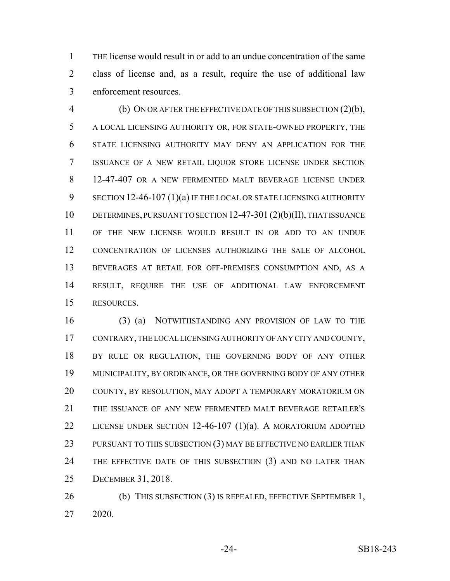THE license would result in or add to an undue concentration of the same class of license and, as a result, require the use of additional law enforcement resources.

 (b) ON OR AFTER THE EFFECTIVE DATE OF THIS SUBSECTION (2)(b), A LOCAL LICENSING AUTHORITY OR, FOR STATE-OWNED PROPERTY, THE STATE LICENSING AUTHORITY MAY DENY AN APPLICATION FOR THE ISSUANCE OF A NEW RETAIL LIQUOR STORE LICENSE UNDER SECTION 12-47-407 OR A NEW FERMENTED MALT BEVERAGE LICENSE UNDER 9 SECTION 12-46-107 (1)(a) IF THE LOCAL OR STATE LICENSING AUTHORITY DETERMINES, PURSUANT TO SECTION 12-47-301 (2)(b)(II), THAT ISSUANCE OF THE NEW LICENSE WOULD RESULT IN OR ADD TO AN UNDUE CONCENTRATION OF LICENSES AUTHORIZING THE SALE OF ALCOHOL BEVERAGES AT RETAIL FOR OFF-PREMISES CONSUMPTION AND, AS A RESULT, REQUIRE THE USE OF ADDITIONAL LAW ENFORCEMENT RESOURCES.

 (3) (a) NOTWITHSTANDING ANY PROVISION OF LAW TO THE CONTRARY, THE LOCAL LICENSING AUTHORITY OF ANY CITY AND COUNTY, 18 BY RULE OR REGULATION, THE GOVERNING BODY OF ANY OTHER MUNICIPALITY, BY ORDINANCE, OR THE GOVERNING BODY OF ANY OTHER COUNTY, BY RESOLUTION, MAY ADOPT A TEMPORARY MORATORIUM ON THE ISSUANCE OF ANY NEW FERMENTED MALT BEVERAGE RETAILER'S LICENSE UNDER SECTION 12-46-107 (1)(a). A MORATORIUM ADOPTED 23 PURSUANT TO THIS SUBSECTION (3) MAY BE EFFECTIVE NO EARLIER THAN 24 THE EFFECTIVE DATE OF THIS SUBSECTION (3) AND NO LATER THAN DECEMBER 31, 2018.

26 (b) THIS SUBSECTION (3) IS REPEALED, EFFECTIVE SEPTEMBER 1, 2020.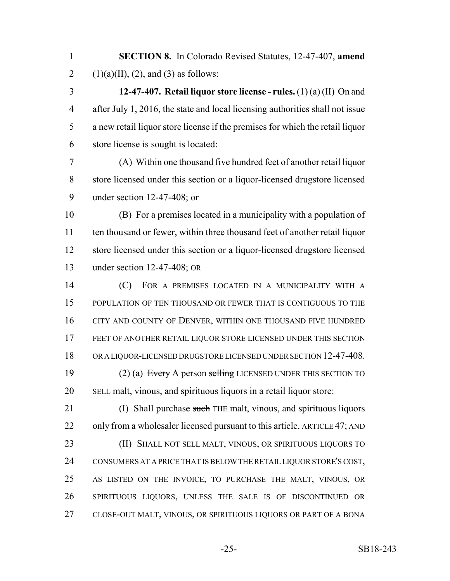**SECTION 8.** In Colorado Revised Statutes, 12-47-407, **amend** 2 (1)(a)(II), (2), and (3) as follows:

 **12-47-407. Retail liquor store license - rules.** (1) (a) (II) On and after July 1, 2016, the state and local licensing authorities shall not issue a new retail liquor store license if the premises for which the retail liquor store license is sought is located:

 (A) Within one thousand five hundred feet of another retail liquor store licensed under this section or a liquor-licensed drugstore licensed 9 under section 12-47-408; or

 (B) For a premises located in a municipality with a population of ten thousand or fewer, within three thousand feet of another retail liquor store licensed under this section or a liquor-licensed drugstore licensed under section 12-47-408; OR

 (C) FOR A PREMISES LOCATED IN A MUNICIPALITY WITH A POPULATION OF TEN THOUSAND OR FEWER THAT IS CONTIGUOUS TO THE CITY AND COUNTY OF DENVER, WITHIN ONE THOUSAND FIVE HUNDRED FEET OF ANOTHER RETAIL LIQUOR STORE LICENSED UNDER THIS SECTION OR A LIQUOR-LICENSED DRUGSTORE LICENSED UNDER SECTION 12-47-408. 19 (2) (a) Every A person selling LICENSED UNDER THIS SECTION TO SELL malt, vinous, and spirituous liquors in a retail liquor store:

21 (I) Shall purchase such THE malt, vinous, and spirituous liquors 22 only from a wholesaler licensed pursuant to this article. ARTICLE 47; AND (II) SHALL NOT SELL MALT, VINOUS, OR SPIRITUOUS LIQUORS TO CONSUMERS AT A PRICE THAT IS BELOW THE RETAIL LIQUOR STORE'S COST, AS LISTED ON THE INVOICE, TO PURCHASE THE MALT, VINOUS, OR SPIRITUOUS LIQUORS, UNLESS THE SALE IS OF DISCONTINUED OR CLOSE-OUT MALT, VINOUS, OR SPIRITUOUS LIQUORS OR PART OF A BONA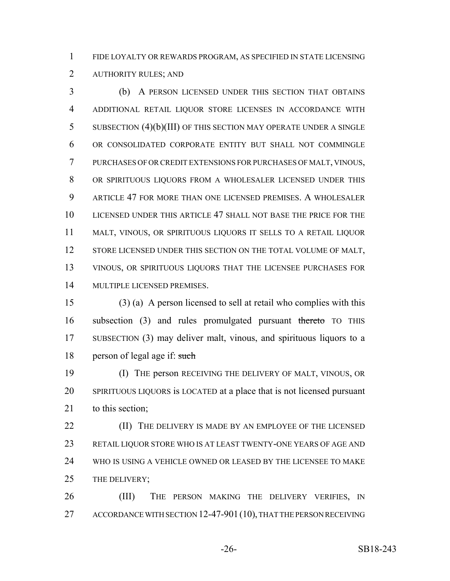FIDE LOYALTY OR REWARDS PROGRAM, AS SPECIFIED IN STATE LICENSING

AUTHORITY RULES; AND

 (b) A PERSON LICENSED UNDER THIS SECTION THAT OBTAINS ADDITIONAL RETAIL LIQUOR STORE LICENSES IN ACCORDANCE WITH SUBSECTION (4)(b)(III) OF THIS SECTION MAY OPERATE UNDER A SINGLE OR CONSOLIDATED CORPORATE ENTITY BUT SHALL NOT COMMINGLE PURCHASES OF OR CREDIT EXTENSIONS FOR PURCHASES OF MALT, VINOUS, OR SPIRITUOUS LIQUORS FROM A WHOLESALER LICENSED UNDER THIS ARTICLE 47 FOR MORE THAN ONE LICENSED PREMISES. A WHOLESALER LICENSED UNDER THIS ARTICLE 47 SHALL NOT BASE THE PRICE FOR THE MALT, VINOUS, OR SPIRITUOUS LIQUORS IT SELLS TO A RETAIL LIQUOR 12 STORE LICENSED UNDER THIS SECTION ON THE TOTAL VOLUME OF MALT, VINOUS, OR SPIRITUOUS LIQUORS THAT THE LICENSEE PURCHASES FOR MULTIPLE LICENSED PREMISES.

 (3) (a) A person licensed to sell at retail who complies with this 16 subsection (3) and rules promulgated pursuant thereto TO THIS SUBSECTION (3) may deliver malt, vinous, and spirituous liquors to a 18 person of legal age if: such

 (I) THE person RECEIVING THE DELIVERY OF MALT, VINOUS, OR SPIRITUOUS LIQUORS is LOCATED at a place that is not licensed pursuant 21 to this section:

**(II)** THE DELIVERY IS MADE BY AN EMPLOYEE OF THE LICENSED RETAIL LIQUOR STORE WHO IS AT LEAST TWENTY-ONE YEARS OF AGE AND WHO IS USING A VEHICLE OWNED OR LEASED BY THE LICENSEE TO MAKE THE DELIVERY;

 (III) THE PERSON MAKING THE DELIVERY VERIFIES, IN 27 ACCORDANCE WITH SECTION 12-47-901 (10), THAT THE PERSON RECEIVING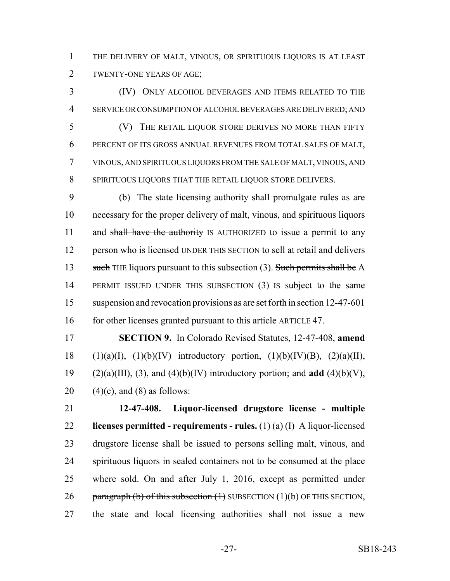THE DELIVERY OF MALT, VINOUS, OR SPIRITUOUS LIQUORS IS AT LEAST TWENTY-ONE YEARS OF AGE;

 (IV) ONLY ALCOHOL BEVERAGES AND ITEMS RELATED TO THE SERVICE OR CONSUMPTION OF ALCOHOL BEVERAGES ARE DELIVERED; AND (V) THE RETAIL LIQUOR STORE DERIVES NO MORE THAN FIFTY PERCENT OF ITS GROSS ANNUAL REVENUES FROM TOTAL SALES OF MALT, VINOUS, AND SPIRITUOUS LIQUORS FROM THE SALE OF MALT, VINOUS, AND SPIRITUOUS LIQUORS THAT THE RETAIL LIQUOR STORE DELIVERS.

9 (b) The state licensing authority shall promulgate rules as are necessary for the proper delivery of malt, vinous, and spirituous liquors 11 and shall have the authority IS AUTHORIZED to issue a permit to any person who is licensed UNDER THIS SECTION to sell at retail and delivers 13 such THE liquors pursuant to this subsection (3). Such permits shall be A PERMIT ISSUED UNDER THIS SUBSECTION (3) IS subject to the same suspension and revocation provisions as are set forth in section 12-47-601 16 for other licenses granted pursuant to this article ARTICLE 47.

 **SECTION 9.** In Colorado Revised Statutes, 12-47-408, **amend** 18 (1)(a)(I), (1)(b)(IV) introductory portion, (1)(b)(IV)(B), (2)(a)(II), 19 (2)(a)(III), (3), and (4)(b)(IV) introductory portion; and **add** (4)(b)(V), 20  $(4)(c)$ , and  $(8)$  as follows:

 **12-47-408. Liquor-licensed drugstore license - multiple licenses permitted - requirements - rules.** (1) (a) (I) A liquor-licensed drugstore license shall be issued to persons selling malt, vinous, and spirituous liquors in sealed containers not to be consumed at the place where sold. On and after July 1, 2016, except as permitted under 26 paragraph (b) of this subsection  $(1)$  SUBSECTION  $(1)(b)$  OF THIS SECTION, the state and local licensing authorities shall not issue a new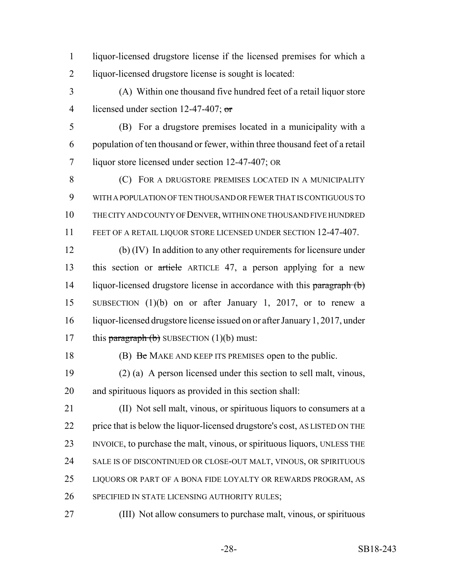- liquor-licensed drugstore license if the licensed premises for which a liquor-licensed drugstore license is sought is located:
- (A) Within one thousand five hundred feet of a retail liquor store 4 licensed under section 12-47-407; or
- (B) For a drugstore premises located in a municipality with a population of ten thousand or fewer, within three thousand feet of a retail liquor store licensed under section 12-47-407; OR
- **(C)** FOR A DRUGSTORE PREMISES LOCATED IN A MUNICIPALITY WITH A POPULATION OF TEN THOUSAND OR FEWER THAT IS CONTIGUOUS TO THE CITY AND COUNTY OF DENVER, WITHIN ONE THOUSAND FIVE HUNDRED FEET OF A RETAIL LIQUOR STORE LICENSED UNDER SECTION 12-47-407.
- (b) (IV) In addition to any other requirements for licensure under this section or article ARTICLE 47, a person applying for a new 14 liquor-licensed drugstore license in accordance with this paragraph (b) SUBSECTION (1)(b) on or after January 1, 2017, or to renew a liquor-licensed drugstore license issued on or after January 1, 2017, under 17 this paragraph  $(b)$  SUBSECTION  $(1)(b)$  must:
- 

18 (B) Be MAKE AND KEEP ITS PREMISES open to the public.

- (2) (a) A person licensed under this section to sell malt, vinous, and spirituous liquors as provided in this section shall:
- (II) Not sell malt, vinous, or spirituous liquors to consumers at a price that is below the liquor-licensed drugstore's cost, AS LISTED ON THE INVOICE, to purchase the malt, vinous, or spirituous liquors, UNLESS THE SALE IS OF DISCONTINUED OR CLOSE-OUT MALT, VINOUS, OR SPIRITUOUS LIQUORS OR PART OF A BONA FIDE LOYALTY OR REWARDS PROGRAM, AS SPECIFIED IN STATE LICENSING AUTHORITY RULES;
- (III) Not allow consumers to purchase malt, vinous, or spirituous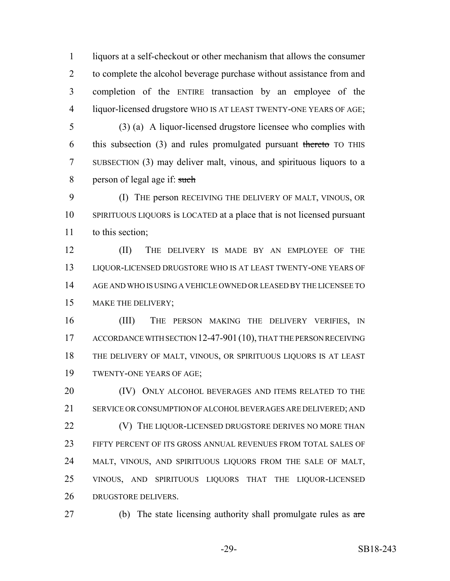liquors at a self-checkout or other mechanism that allows the consumer to complete the alcohol beverage purchase without assistance from and completion of the ENTIRE transaction by an employee of the liquor-licensed drugstore WHO IS AT LEAST TWENTY-ONE YEARS OF AGE;

 (3) (a) A liquor-licensed drugstore licensee who complies with 6 this subsection (3) and rules promulgated pursuant thereto TO THIS SUBSECTION (3) may deliver malt, vinous, and spirituous liquors to a 8 person of legal age if: such

 (I) THE person RECEIVING THE DELIVERY OF MALT, VINOUS, OR SPIRITUOUS LIQUORS is LOCATED at a place that is not licensed pursuant to this section;

 (II) THE DELIVERY IS MADE BY AN EMPLOYEE OF THE LIQUOR-LICENSED DRUGSTORE WHO IS AT LEAST TWENTY-ONE YEARS OF AGE AND WHO IS USING A VEHICLE OWNED OR LEASED BY THE LICENSEE TO MAKE THE DELIVERY;

 (III) THE PERSON MAKING THE DELIVERY VERIFIES, IN 17 ACCORDANCE WITH SECTION 12-47-901 (10), THAT THE PERSON RECEIVING THE DELIVERY OF MALT, VINOUS, OR SPIRITUOUS LIQUORS IS AT LEAST TWENTY-ONE YEARS OF AGE;

20 (IV) ONLY ALCOHOL BEVERAGES AND ITEMS RELATED TO THE SERVICE OR CONSUMPTION OF ALCOHOL BEVERAGES ARE DELIVERED; AND **(V)** THE LIQUOR-LICENSED DRUGSTORE DERIVES NO MORE THAN FIFTY PERCENT OF ITS GROSS ANNUAL REVENUES FROM TOTAL SALES OF MALT, VINOUS, AND SPIRITUOUS LIQUORS FROM THE SALE OF MALT, VINOUS, AND SPIRITUOUS LIQUORS THAT THE LIQUOR-LICENSED DRUGSTORE DELIVERS.

27 (b) The state licensing authority shall promulgate rules as are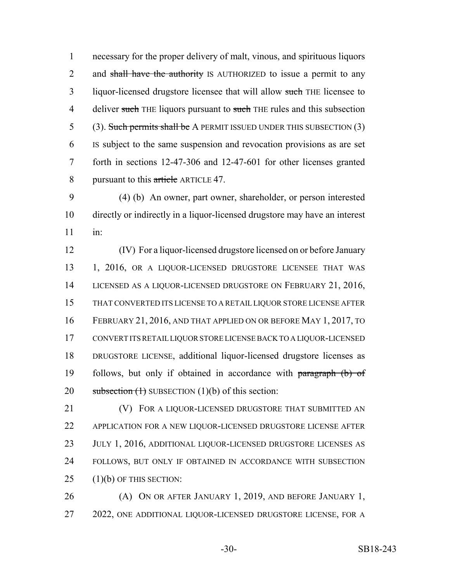necessary for the proper delivery of malt, vinous, and spirituous liquors 2 and shall have the authority IS AUTHORIZED to issue a permit to any 3 liquor-licensed drugstore licensee that will allow such THE licensee to 4 deliver such THE liquors pursuant to such THE rules and this subsection 5 (3). Such permits shall be A PERMIT ISSUED UNDER THIS SUBSECTION (3) IS subject to the same suspension and revocation provisions as are set forth in sections 12-47-306 and 12-47-601 for other licenses granted 8 pursuant to this article ARTICLE 47.

 (4) (b) An owner, part owner, shareholder, or person interested directly or indirectly in a liquor-licensed drugstore may have an interest in:

 (IV) For a liquor-licensed drugstore licensed on or before January 1, 2016, OR A LIQUOR-LICENSED DRUGSTORE LICENSEE THAT WAS LICENSED AS A LIQUOR-LICENSED DRUGSTORE ON FEBRUARY 21, 2016, THAT CONVERTED ITS LICENSE TO A RETAIL LIQUOR STORE LICENSE AFTER FEBRUARY 21, 2016, AND THAT APPLIED ON OR BEFORE MAY 1, 2017, TO CONVERT ITS RETAIL LIQUOR STORE LICENSE BACK TO A LIQUOR-LICENSED DRUGSTORE LICENSE, additional liquor-licensed drugstore licenses as 19 follows, but only if obtained in accordance with paragraph (b) of 20 subsection  $(1)$  SUBSECTION  $(1)(b)$  of this section:

**(V)** FOR A LIQUOR-LICENSED DRUGSTORE THAT SUBMITTED AN APPLICATION FOR A NEW LIQUOR-LICENSED DRUGSTORE LICENSE AFTER JULY 1, 2016, ADDITIONAL LIQUOR-LICENSED DRUGSTORE LICENSES AS FOLLOWS, BUT ONLY IF OBTAINED IN ACCORDANCE WITH SUBSECTION (1)(b) OF THIS SECTION:

 (A) ON OR AFTER JANUARY 1, 2019, AND BEFORE JANUARY 1, 2022, ONE ADDITIONAL LIQUOR-LICENSED DRUGSTORE LICENSE, FOR A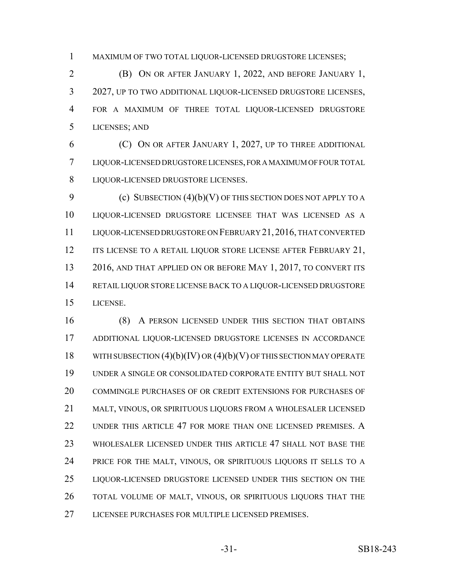MAXIMUM OF TWO TOTAL LIQUOR-LICENSED DRUGSTORE LICENSES;

 (B) ON OR AFTER JANUARY 1, 2022, AND BEFORE JANUARY 1, 2027, UP TO TWO ADDITIONAL LIQUOR-LICENSED DRUGSTORE LICENSES, FOR A MAXIMUM OF THREE TOTAL LIQUOR-LICENSED DRUGSTORE LICENSES; AND

 (C) ON OR AFTER JANUARY 1, 2027, UP TO THREE ADDITIONAL LIQUOR-LICENSED DRUGSTORE LICENSES, FOR A MAXIMUM OF FOUR TOTAL LIQUOR-LICENSED DRUGSTORE LICENSES.

9 (c) SUBSECTION (4)(b)(V) OF THIS SECTION DOES NOT APPLY TO A LIQUOR-LICENSED DRUGSTORE LICENSEE THAT WAS LICENSED AS A LIQUOR-LICENSED DRUGSTORE ON FEBRUARY 21,2016, THAT CONVERTED 12 ITS LICENSE TO A RETAIL LIQUOR STORE LICENSE AFTER FEBRUARY 21, 13 2016, AND THAT APPLIED ON OR BEFORE MAY 1, 2017, TO CONVERT ITS RETAIL LIQUOR STORE LICENSE BACK TO A LIQUOR-LICENSED DRUGSTORE LICENSE.

 (8) A PERSON LICENSED UNDER THIS SECTION THAT OBTAINS ADDITIONAL LIQUOR-LICENSED DRUGSTORE LICENSES IN ACCORDANCE 18 WITH SUBSECTION  $(4)(b)(IV)$  OR  $(4)(b)(V)$  OF THIS SECTION MAY OPERATE UNDER A SINGLE OR CONSOLIDATED CORPORATE ENTITY BUT SHALL NOT COMMINGLE PURCHASES OF OR CREDIT EXTENSIONS FOR PURCHASES OF MALT, VINOUS, OR SPIRITUOUS LIQUORS FROM A WHOLESALER LICENSED UNDER THIS ARTICLE 47 FOR MORE THAN ONE LICENSED PREMISES. A WHOLESALER LICENSED UNDER THIS ARTICLE 47 SHALL NOT BASE THE PRICE FOR THE MALT, VINOUS, OR SPIRITUOUS LIQUORS IT SELLS TO A LIQUOR-LICENSED DRUGSTORE LICENSED UNDER THIS SECTION ON THE TOTAL VOLUME OF MALT, VINOUS, OR SPIRITUOUS LIQUORS THAT THE LICENSEE PURCHASES FOR MULTIPLE LICENSED PREMISES.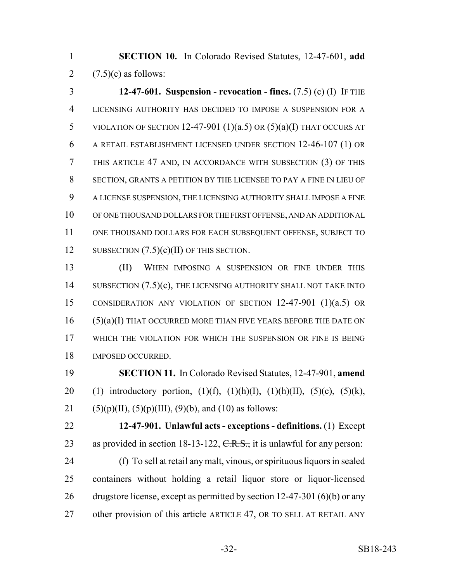**SECTION 10.** In Colorado Revised Statutes, 12-47-601, **add** 2  $(7.5)(c)$  as follows:

 **12-47-601. Suspension - revocation - fines.** (7.5) (c) (I) IF THE LICENSING AUTHORITY HAS DECIDED TO IMPOSE A SUSPENSION FOR A 5 VIOLATION OF SECTION 12-47-901  $(1)(a.5)$  OR  $(5)(a)(I)$  THAT OCCURS AT A RETAIL ESTABLISHMENT LICENSED UNDER SECTION 12-46-107 (1) OR THIS ARTICLE 47 AND, IN ACCORDANCE WITH SUBSECTION (3) OF THIS SECTION, GRANTS A PETITION BY THE LICENSEE TO PAY A FINE IN LIEU OF A LICENSE SUSPENSION, THE LICENSING AUTHORITY SHALL IMPOSE A FINE OF ONE THOUSAND DOLLARS FOR THE FIRST OFFENSE, AND AN ADDITIONAL ONE THOUSAND DOLLARS FOR EACH SUBSEQUENT OFFENSE, SUBJECT TO 12 SUBSECTION  $(7.5)(c)(II)$  OF THIS SECTION.

 (II) WHEN IMPOSING A SUSPENSION OR FINE UNDER THIS 14 SUBSECTION (7.5)(c), THE LICENSING AUTHORITY SHALL NOT TAKE INTO CONSIDERATION ANY VIOLATION OF SECTION 12-47-901 (1)(a.5) OR (5)(a)(I) THAT OCCURRED MORE THAN FIVE YEARS BEFORE THE DATE ON WHICH THE VIOLATION FOR WHICH THE SUSPENSION OR FINE IS BEING IMPOSED OCCURRED.

 **SECTION 11.** In Colorado Revised Statutes, 12-47-901, **amend** 20 (1) introductory portion,  $(1)(f)$ ,  $(1)(h)(I)$ ,  $(1)(h)(II)$ ,  $(5)(c)$ ,  $(5)(k)$ , 21 (5)(p)(II), (5)(p)(III), (9)(b), and (10) as follows:

 **12-47-901. Unlawful acts - exceptions - definitions.** (1) Except 23 as provided in section 18-13-122,  $C.R.S.,$  it is unlawful for any person:

 (f) To sell at retail any malt, vinous, or spirituous liquors in sealed containers without holding a retail liquor store or liquor-licensed drugstore license, except as permitted by section 12-47-301 (6)(b) or any 27 other provision of this article ARTICLE 47, OR TO SELL AT RETAIL ANY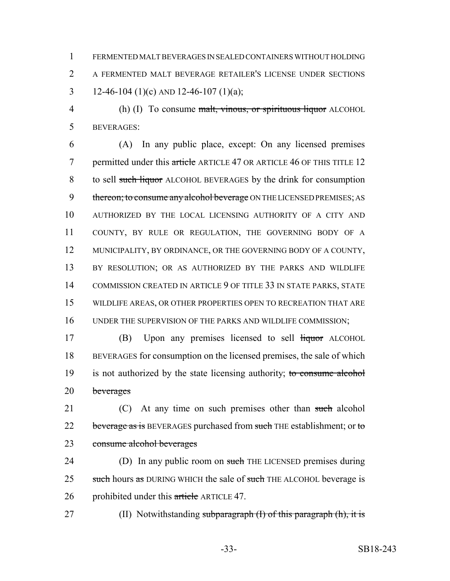1 FERMENTED MALT BEVERAGES IN SEALED CONTAINERS WITHOUT HOLDING 2 A FERMENTED MALT BEVERAGE RETAILER'S LICENSE UNDER SECTIONS 3 12-46-104 (1)(c) AND 12-46-107 (1)(a);

4 (h) (I) To consume malt, vinous, or spirituous liquor ALCOHOL 5 BEVERAGES:

 (A) In any public place, except: On any licensed premises 7 permitted under this article ARTICLE 47 OR ARTICLE 46 OF THIS TITLE 12 to sell such liquor ALCOHOL BEVERAGES by the drink for consumption 9 thereon; to consume any alcohol beverage ON THE LICENSED PREMISES; AS AUTHORIZED BY THE LOCAL LICENSING AUTHORITY OF A CITY AND COUNTY, BY RULE OR REGULATION, THE GOVERNING BODY OF A 12 MUNICIPALITY, BY ORDINANCE, OR THE GOVERNING BODY OF A COUNTY, 13 BY RESOLUTION; OR AS AUTHORIZED BY THE PARKS AND WILDLIFE COMMISSION CREATED IN ARTICLE 9 OF TITLE 33 IN STATE PARKS, STATE WILDLIFE AREAS, OR OTHER PROPERTIES OPEN TO RECREATION THAT ARE UNDER THE SUPERVISION OF THE PARKS AND WILDLIFE COMMISSION;

17 (B) Upon any premises licensed to sell liquor ALCOHOL 18 BEVERAGES for consumption on the licensed premises, the sale of which 19 is not authorized by the state licensing authority; to consume alcohol 20 beverages

21 (C) At any time on such premises other than such alcohol 22 beverage as is BEVERAGES purchased from such THE establishment; or to 23 consume alcohol beverages

24 (D) In any public room on such THE LICENSED premises during 25 such hours as DURING WHICH the sale of such THE ALCOHOL beverage is 26 prohibited under this article ARTICLE 47.

27 (II) Notwithstanding subparagraph (I) of this paragraph (h), it is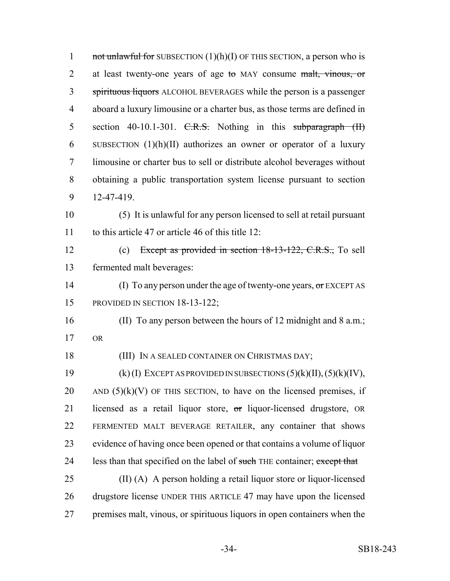1 not unlawful for SUBSECTION  $(1)(h)(I)$  OF THIS SECTION, a person who is 2 at least twenty-one years of age to MAY consume malt, vinous, or 3 spirituous liquors ALCOHOL BEVERAGES while the person is a passenger 4 aboard a luxury limousine or a charter bus, as those terms are defined in 5 section 40-10.1-301.  $C.R.S.$  Nothing in this subparagraph  $(H)$ 6 SUBSECTION  $(1)(h)(II)$  authorizes an owner or operator of a luxury 7 limousine or charter bus to sell or distribute alcohol beverages without 8 obtaining a public transportation system license pursuant to section 9 12-47-419. 10 (5) It is unlawful for any person licensed to sell at retail pursuant 11 to this article 47 or article 46 of this title 12: 12 (c) Except as provided in section 18-13-122, C.R.S., To sell 13 fermented malt beverages: 14 (I) To any person under the age of twenty-one years, or EXCEPT AS 15 PROVIDED IN SECTION 18-13-122; 16 (II) To any person between the hours of 12 midnight and 8 a.m.; 17 OR 18 (III) IN A SEALED CONTAINER ON CHRISTMAS DAY; 19  $(k)$  (I) EXCEPT AS PROVIDED IN SUBSECTIONS  $(5)(k)(II)$ ,  $(5)(k)(IV)$ , 20 AND  $(5)(k)(V)$  OF THIS SECTION, to have on the licensed premises, if 21 licensed as a retail liquor store, or liquor-licensed drugstore, OR 22 FERMENTED MALT BEVERAGE RETAILER, any container that shows 23 evidence of having once been opened or that contains a volume of liquor 24 less than that specified on the label of such THE container; except that 25 (II) (A) A person holding a retail liquor store or liquor-licensed 26 drugstore license UNDER THIS ARTICLE 47 may have upon the licensed

27 premises malt, vinous, or spirituous liquors in open containers when the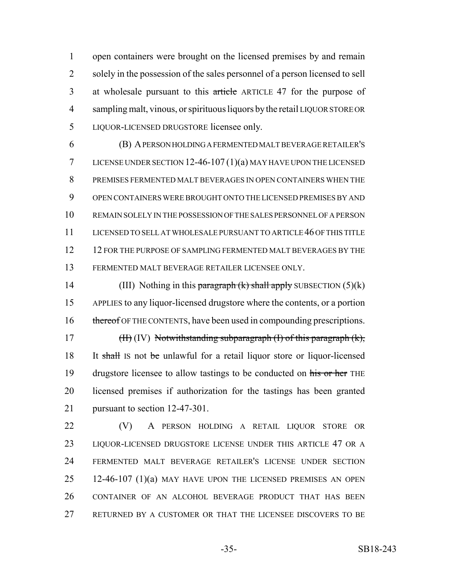open containers were brought on the licensed premises by and remain solely in the possession of the sales personnel of a person licensed to sell 3 at wholesale pursuant to this article ARTICLE 47 for the purpose of sampling malt, vinous, or spirituous liquors by the retail LIQUOR STORE OR LIQUOR-LICENSED DRUGSTORE licensee only.

 (B) A PERSON HOLDING A FERMENTED MALT BEVERAGE RETAILER'S LICENSE UNDER SECTION 12-46-107 (1)(a) MAY HAVE UPON THE LICENSED PREMISES FERMENTED MALT BEVERAGES IN OPEN CONTAINERS WHEN THE OPEN CONTAINERS WERE BROUGHT ONTO THE LICENSED PREMISES BY AND REMAIN SOLELY IN THE POSSESSION OF THE SALES PERSONNEL OF A PERSON LICENSED TO SELL AT WHOLESALE PURSUANT TO ARTICLE 46 OF THIS TITLE 12 FOR THE PURPOSE OF SAMPLING FERMENTED MALT BEVERAGES BY THE FERMENTED MALT BEVERAGE RETAILER LICENSEE ONLY.

14 (III) Nothing in this paragraph  $(k)$  shall apply SUBSECTION  $(5)(k)$  APPLIES to any liquor-licensed drugstore where the contents, or a portion 16 thereof OF THE CONTENTS, have been used in compounding prescriptions. 17  $(H)$  (IV) Notwithstanding subparagraph (I) of this paragraph  $(k)$ , 18 It shall Is not be unlawful for a retail liquor store or liquor-licensed 19 drugstore licensee to allow tastings to be conducted on his or her THE licensed premises if authorization for the tastings has been granted

 (V) A PERSON HOLDING A RETAIL LIQUOR STORE OR LIQUOR-LICENSED DRUGSTORE LICENSE UNDER THIS ARTICLE 47 OR A FERMENTED MALT BEVERAGE RETAILER'S LICENSE UNDER SECTION 12-46-107 (1)(a) MAY HAVE UPON THE LICENSED PREMISES AN OPEN CONTAINER OF AN ALCOHOL BEVERAGE PRODUCT THAT HAS BEEN RETURNED BY A CUSTOMER OR THAT THE LICENSEE DISCOVERS TO BE

pursuant to section 12-47-301.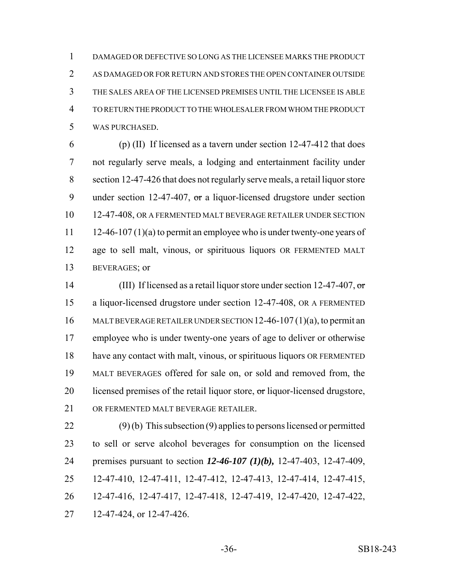DAMAGED OR DEFECTIVE SO LONG AS THE LICENSEE MARKS THE PRODUCT AS DAMAGED OR FOR RETURN AND STORES THE OPEN CONTAINER OUTSIDE THE SALES AREA OF THE LICENSED PREMISES UNTIL THE LICENSEE IS ABLE TO RETURN THE PRODUCT TO THE WHOLESALER FROM WHOM THE PRODUCT WAS PURCHASED.

 (p) (II) If licensed as a tavern under section 12-47-412 that does not regularly serve meals, a lodging and entertainment facility under section 12-47-426 that does not regularly serve meals, a retail liquor store 9 under section 12-47-407,  $\sigma$ r a liquor-licensed drugstore under section 12-47-408, OR A FERMENTED MALT BEVERAGE RETAILER UNDER SECTION 11 12-46-107 (1)(a) to permit an employee who is under twenty-one years of age to sell malt, vinous, or spirituous liquors OR FERMENTED MALT BEVERAGES; or

14 (III) If licensed as a retail liquor store under section 12-47-407, or a liquor-licensed drugstore under section 12-47-408, OR A FERMENTED MALT BEVERAGE RETAILER UNDER SECTION 12-46-107 (1)(a), to permit an employee who is under twenty-one years of age to deliver or otherwise have any contact with malt, vinous, or spirituous liquors OR FERMENTED MALT BEVERAGES offered for sale on, or sold and removed from, the 20 licensed premises of the retail liquor store, or liquor-licensed drugstore, OR FERMENTED MALT BEVERAGE RETAILER.

 (9) (b) This subsection (9) applies to persons licensed or permitted to sell or serve alcohol beverages for consumption on the licensed premises pursuant to section *12-46-107 (1)(b),* 12-47-403, 12-47-409, 12-47-410, 12-47-411, 12-47-412, 12-47-413, 12-47-414, 12-47-415, 12-47-416, 12-47-417, 12-47-418, 12-47-419, 12-47-420, 12-47-422, 12-47-424, or 12-47-426.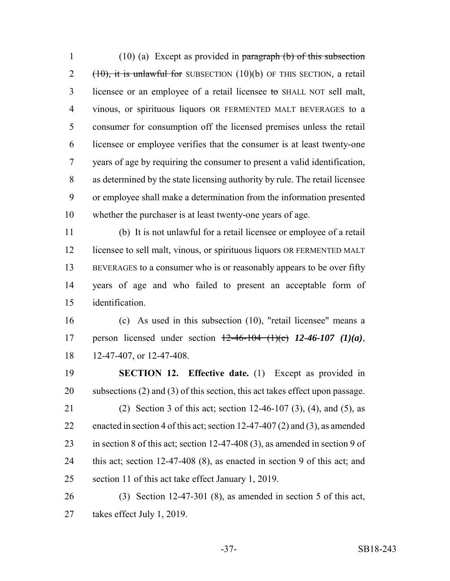(10) (a) Except as provided in paragraph (b) of this subsection (10), it is unlawful for SUBSECTION (10)(b) OF THIS SECTION, a retail licensee or an employee of a retail licensee to SHALL NOT sell malt, vinous, or spirituous liquors OR FERMENTED MALT BEVERAGES to a consumer for consumption off the licensed premises unless the retail licensee or employee verifies that the consumer is at least twenty-one years of age by requiring the consumer to present a valid identification, as determined by the state licensing authority by rule. The retail licensee or employee shall make a determination from the information presented whether the purchaser is at least twenty-one years of age.

 (b) It is not unlawful for a retail licensee or employee of a retail licensee to sell malt, vinous, or spirituous liquors OR FERMENTED MALT BEVERAGES to a consumer who is or reasonably appears to be over fifty years of age and who failed to present an acceptable form of identification.

 (c) As used in this subsection (10), "retail licensee" means a person licensed under section 12-46-104 (1)(c) *12-46-107 (1)(a)*, 12-47-407, or 12-47-408.

 **SECTION 12. Effective date.** (1) Except as provided in subsections (2) and (3) of this section, this act takes effect upon passage. (2) Section 3 of this act; section 12-46-107 (3), (4), and (5), as enacted in section 4 of this act; section 12-47-407 (2) and (3), as amended in section 8 of this act; section 12-47-408 (3), as amended in section 9 of this act; section 12-47-408 (8), as enacted in section 9 of this act; and section 11 of this act take effect January 1, 2019.

 (3) Section 12-47-301 (8), as amended in section 5 of this act, takes effect July 1, 2019.